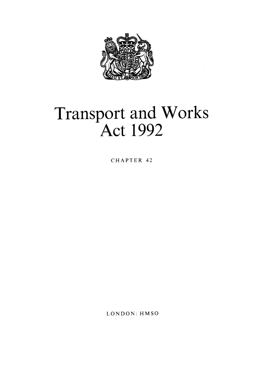

# Transport and Works Act 1992

CHAPTER 42

LONDON: HMSO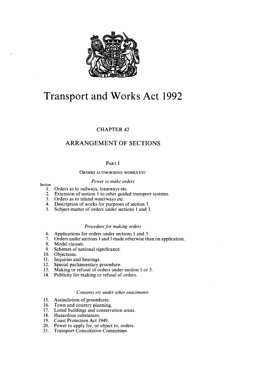

# Transport and Works Act 1992

# CHAPTER 42

# ARRANGEMENT OF SECTIONS

# PART I

# ORDERS AUTHORISING WORKS ETC

# Power to make orders

# Section  $\frac{1}{1}$ .

- 1. Orders as to railways, tramways etc.
- 2. Extension of section 1 to other guided transport systems.
- 3. Orders as to inland waterways etc.
- 4. Description of works for purposes of section 3.
- 5. Subject-matter of orders under sections 1 and 3.

# Procedure for making orders

- 6. Applications for orders under sections 1 and 3.
- 7. Orders under sections 1 and 3 made otherwise than on application.
- 8. Model clauses.
- 9. Schemes of national significance.
- 10. Objections.
- 11. Inquiries and hearings.
- 12. Special parliamentary procedure.
- 13. Making or refusal of orders under section 1 or 3.
- 14. Publicity for making or refusal of orders.

# Consents etc under other enactments

- 15. Assimilation of procedures.
- 16. Town and country planning.
- 17. Listed buildings and conservation areas.
- 18. Hazardous substances.
- 19. Coast Protection Act 1949.
- 20. Power to apply for, or object to, orders.<br>21. Transport Consultative Committees.
- Transport Consultative Committees.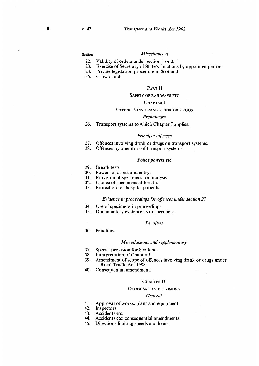#### Section Miscellaneous

- 22. Validity of orders under section 1 or 3.
- 23. Exercise of Secretary of State's functions by appointed person.
- 24. Private legislation procedure in Scotland.
- 25. Crown land.

# PART II

## SAFETY OF RAILWAYS ETC

# CHAPTER I

# OFFENCES INVOLVING DRINK OR DRUGS

# Preliminary

26. Transport systems to which Chapter I applies.

# Principal offences

- 27. Offences involving drink or drugs on transport systems.<br>28. Offences by operators of transport systems.
- Offences by operators of transport systems.

# Police powers etc

- 29. Breath tests.
- 30. Powers of arrest and entry.
- 31. Provision of specimens for analysis.
- 32. Choice of specimens of breath.
- 33. Protection for hospital patients.

# Evidence in proceedings for offences under section 27

- 34. Use of specimens in proceedings.<br>35. Documentary evidence as to spec
- Documentary evidence as to specimens.

#### Penalties

36. Penalties.

# Miscellaneous and supplementary

- 37. Special provision for Scotland.
- 38. Interpretation of Chapter I.<br>39. Amendment of scope of offer
- Amendment of scope of offences involving drink or drugs under Road Traffic Act 1988.
- 40. Consequential amendment.

#### CHAPTER II

#### OTHER SAFETY PROVISIONS

### General

- 41. Approval of works, plant and equipment.
- 42. Inspectors.
- 43. Accidents etc.
- 44. Accidents etc: consequential amendments.
- 45. Directions limiting speeds and loads.

 $\ddot{\mathbf{u}}$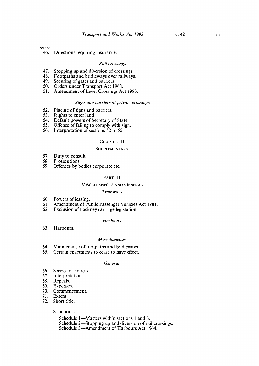Section

46. Directions requiring insurance.

# Rail crossings

- 47. Stopping up and diversion of crossings.<br>48. Footpaths and bridleways over railways
- Footpaths and bridleways over railways.
- 49. Securing of gates and barriers.
- 50. Orders under Transport Act 1968.
- 51. Amendment of Level Crossings Act 1983.

#### Signs and barriers at private crossings

- 52. Placing of signs and barriers.<br>53. Rights to enter land.
- 53. Rights to enter land.<br>54. Default powers of Se
- 54. Default powers of Secretary of State.<br>55. Offence of failing to comply with sign
- Offence of failing to comply with sign.
- 56. Interpretation of sections 52 to 55.

#### CHAPTER III

#### **SUPPLEMENTARY**

- 57. Duty to consult.<br>58. Prosecutions.
- Prosecutions.
- 59. Offences by bodies corporate etc.

# PART III

#### MISCELLANEOUS AND GENERAL

#### **Tramways**

- 60. Powers of leasing.
- 61. Amendment of Public Passenger Vehicles Act 1981.<br>62. Exclusion of hackney carriage legislation.
- Exclusion of hackney carriage legislation.

# **Harbours**

63. Harbours.

#### Miscellaneous

- 64. Maintenance of footpaths and bridleways.
- 65. Certain enactments to cease to have effect.

#### General

- 66. Service of notices.<br>67. Interpretation.
- Interpretation.
- 68. Repeals.
- 69. Expenses.
- 70. Commencement.
- 71. Extent.
- 72. Short title.

# SCHEDULES:

Schedule 1—Matters within sections 1 and 3. Schedule 2—Stopping up and diversion of rail crossings. Schedule 3—Amendment of Harbours Act 1964.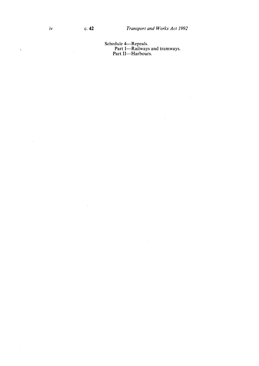Schedule 4—Repeals.

Part I—Railways and tramways.

Part Il—Harbours.

 $\overline{\phantom{a}}$ 

 $\bar{\bar{z}}$ 

 $\mathcal{L}_{\mathcal{A}}$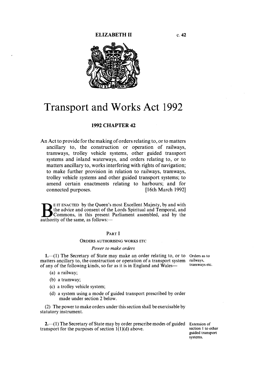

# Transport and Works Act 1992

# 1992 CHAPTER 42

An Act to provide for the making of orders relating to, or to matters ancillary to, the construction or operation of railways, tramways, trolley vehicle systems, other guided transport systems and inland waterways, and orders relating to, or to matters ancillary to, works interfering with rights of navigation; to make further provision in relation to railways, tramways, trolley vehicle systems and other guided transport systems; to amend certain enactments relating to harbours; and for connected purposes. [16th March 1992]

B EIT ENACTED by the Queen's most Excellent Majesty, by and with<br>the advice and consent of the Lords Spiritual and Temporal, and<br>Commons, in this present Parliament assembled, and by the<br>authority of the same as follows: the advice and consent of the Lords Spiritual and Temporal, and Commons, in this present Parliament assembled, and by the authority of the same, as follows:—

# PART I

# ORDERS AUTHORISING WORKS ETC

#### Power to make orders

1.—(1) The Secretary of State may make an order relating to, or to Orders as to matters ancillary to, the construction or operation of a transport system railways, of any of the following kinds, so far as it is in England and Wales—

- (a) a railway;
- (b) a tramway;
- (c) a trolley vehicle system;
- (d) a system using a mode of guided transport prescribed by order made under section 2 below.

(2) The power to make orders under this section shall be exercisable by statutory instrument.

2. (1) The Secretary of State may by order prescribe modes of guided Extension of transport for the purposes of section  $1(1)(d)$  above.

section 1 to other guided transport systems.

tramways etc.

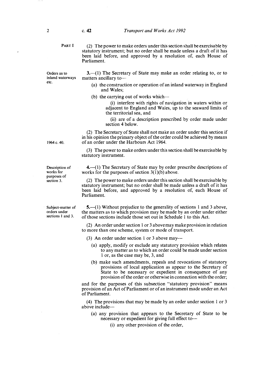**PART I** (2) The power to make orders under this section shall be exercisable by statutory instrument; but no order shall be made unless a draft of it has been laid before, and approved by a resolution of, each House of Parliament.

inland waterways matters ancillary to—

Orders as to  $3.-(1)$  The Secretary of State may make an order relating to, or to inland waterways matters ancillary to

- (a) the construction or operation of an inland waterway in England and Wales;
- (b) the carrying out of works which—

(i) interfere with rights of navigation in waters within or adjacent to England and Wales, up to the seaward limits of the territorial sea, and

(ii) are of a description prescribed by order made under section 4 below.

(2) The Secretary of State shall not make an order under this section if in his opinion the primary object of the order could be achieved by means <sup>1964</sup>c. 40. of an order under the Harbours Act 1964.

> (3) The power to make orders under this section shall be exercisable by statutory instrument.

Description of  $\begin{array}{c} 4. - (1)$  The Secretary of State may by order prescribe descriptions of works for the purposes of section 3(1)(b) above. works for the purposes of section  $3(1)(b)$  above.

> $(2)$  The power to make orders under this section shall be exercisable by statutory instrument; but no order shall be made unless a draft of it has been laid before, and approved by a resolution of, each House of Parliament.

Subject-matter of  $\mathbf{5}$ . (1) Without prejudice to the generality of sections 1 and 3 above, orders under the matters as to which provision may be made by an order under either orders under the matters as to which provision may be made by an order under either<br>sections 1 and 3. of those sections include those set out in Schedule 1 to this Act of those sections include those set out in Schedule 1 to this Act.

> (2) An order under section 1 or 3 above may make provision in relation to more than one scheme, system or mode of transport.

- (3) An order under section 1 or 3 above may—
	- (a) apply, modify or exclude any statutory provision which relates to any matter as to which an order could be made under section <sup>1</sup>or, as the case may be, 3, and
	- (b) make such amendments, repeals and revocations of statutory provisions of local application as appear to the Secretary of State to be necessary or expedient in consequence of any provision of the order or otherwise in connection with the order;

and for the purposes of this subsection "statutory provision" means provision of an Act of Parliament or of an instrument made under an Act of Parliament.

(4) The provisions that may be made by an order under section 1 or <sup>3</sup> above include—

- (a) any provision that appears to the Secretary of State to be necessary or expedient for giving full effect to—
	- (i) any other provision of the order,

purposes of<br>section 3.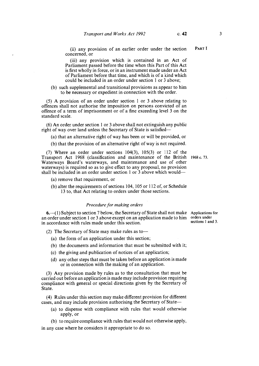(ii) any provision of an earlier order under the section PART I concerned, or

(iii) any provision which is contained in an Act of Parliament passed before the time when this Part of this Act is first wholly in force, or in an instrument made under an Act of Parliament before that time, and which is of a kind which could be included in an order under section 1 or 3 above;

(b) such supplemental and transitional provisions as appear to him to be necessary or expedient in connection with the order.

(5) A provision of an order under section 1 or 3 above relating to offences shall not authorise the imposition on persons convicted of an offence of a term of imprisonment or of a fine exceeding level 3 on the standard scale.

(6) An order under section 1 or 3 above shall not extinguish any public right of way over land unless the Secretary of State is satisfied—

(a) that an alternative right of way has been or will be provided, or

(b) that the provision of an alternative right of way is not required.

(7) Where an order under sections 104(3), 105(3) or 112 of the Transport Act 1968 (classification and maintenance of the British 1968 c. 73. Waterways Board's waterways, and maintenance and use of other waterways) is required so as to give effect to any proposal, no provision shall be included in an order under section 1 or 3 above which would—

- (a) remove that requirement, or
- (b) alter the requirements of sections 104, 105 or 112 of, or Schedule <sup>13</sup>to, that Act relating to orders under those sections.

#### Procedure for making orders

6.—(1) Subject to section 7 below, the Secretary of State shall not make Applications for an order under section 1 or 3 above except on an application made to him orders under<br>in accordance with rules made under this section in accordance with rules made under this section.

- (2) The Secretary of State may make rules as to—
	- (a) the form of an application under this section;
	- (b) the documents and information that must be submitted with it;
	- (c) the giving and publication of notices of an application;
	- (d) any other steps that must be taken before an application is made or in connection with the making of an application.

(3) Any provision made by rules as to the consultation that must be carried out before an application is made may include provision requiring compliance with general or special directions given by the Secretary of State.

(4) Rules under this section may make different provision for different cases, and may include provision authorising the Secretary of State—

- (a) to dispense with compliance with rules that would otherwise apply, or
- (b) to require compliance with rules that would not otherwise apply,

in any case where he considers it appropriate to do so.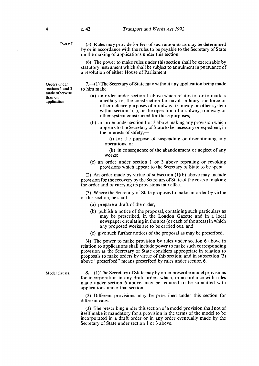PART I (5) Rules may provide for fees of such amounts as may be determined by or in accordance with the rules to be payable to the Secretary of State on the making of applications under this section.

> (6) The power to make rules under this section shall be exercisable by statutory instrument which shall be subject to annulment in pursuance of a resolution of either House of Parliament.

Orders under 7.—(1) The Secretary of State may without any application being made<br>sections 1 and 3 to him make to him make—

- than on (a) an order under section 1 above which relates to, or to matters application. The annual ancillary to, the construction for naval, military, air force or ancillary to, the construction for naval, military, air force or other defence purposes of a railway, tramway or other system within section  $1(1)$ , or the operation of a railway, tramway or other system constructed for those purposes;
	- (b) an order under section 1 or 3 above making any provision which appears to the Secretary of State to be necessary or expedient, in the interests of safety,—

(i) for the purpose of suspending or discontinuing any operations, or

(ii) in consequence of the abandonment or neglect of any works;

(c) an order under section 1 or 3 above repealing or revoking provisions which appear to the Secretary of State to be spent.

(2) An order made by virtue of subsection (1)(b) above may include provision for the recovery by the Secretary of State of the costs of making the order and of carrying its provisions into effect.

(3) Where the Secretary of State proposes to make an order by virtue of this section, he shall—

- (a) prepare a draft of the order,
- (b) publish a notice of the proposal, containing such particulars as may be prescribed, in the London Gazette and in a local newspaper circulating in the area (or each of the areas) in which any proposed works are to be carried out, and
- (c) give such further notices of the proposal as may be prescribed.

(4) The power to make provision by rules under section 6 above in relation to applications shall include power to make such corresponding provision as the Secretary of State considers appropriate in relation to proposals to make orders by virtue of this section; and in subsection (3) above "prescribed" means prescribed by rules under section 6.

Model clauses.  $8.-(1)$  The Secretary of State may by order prescribe model provisions for incorporation in any draft orders which, in accordance with rules made under section 6 above, may be required to be submitted with applications under that section.

> (2) Different provisions may be prescribed under this section for different cases.

> (3) The prescribing under this section of a model provision shall not of itself make it mandatory for a provision in the terms of the model to be incorporated in a draft order or in any order eventually made by the Secretary of State under section 1 or 3 above.

made otherwise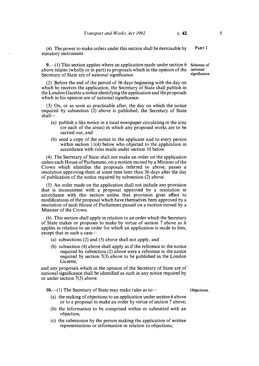(4) The power to make orders under this section shall be exercisable by PART <sup>I</sup> statutory instrument.

9.—(1) This section applies where an application made under section 6 Schemes of above relates (wholly or in part) to proposals which in the opinion of the national<br>Secretary of State are of national significance. Secretary of State are of national significance.

(2) Before the end of the period of 56 days beginning with the day on which he receives the application, the Secretary of State shall publish in the London Gazette a notice identifying the application and the proposals which in his opinion are of national significance.

(3) On, or as soon as practicable after, the day on which the notice required by subsection (2) above is published, the Secretary of State shall—

- (a) publish a like notice in a local newspaper circulating in the area (or each of the areas) in which any proposed works are to be carried out, and
- (b) send a copy of the notice to the applicant and to every person within section 11(4) below who objected to the application in accordance with rules made under section 10 below.

(4) The Secretary of State shall not make an order on the application unless each House of Parliament, on a motion moved by a Minister of the Crown which identifies the proposals referred to above, passes a resolution approving them at some time later than 56 days after the day of publication of the notice required by subsection (2) above.

(5) An order made on the application shall not include any provision that is inconsistent with a proposal approved by a resolution in accordance with this section unless that provision gives effect to modifications of the proposal which have themselves been approved by a resolution of each House of Parliament passed on a motion moved by a Minister of the Crown.

(6) This section shall apply in relation to an order which the Secretary of State makes or proposes to make by virtue of section 7 above as it applies in relation to an order for which an application is made to him, except that in such a case—

- (a) subsections (2) and (3) above shall not apply, and
- (b) subsection (4) above shall apply as if the reference to the notice required by subsection (2) above were a reference to the notice required by section 7(3) above to be published in the London Gazette;

and any proposals which in the opinion of the Secretary of State are of national significance shall be identified as such in any notice required by or under section 7(3) above.

1O.—(1) The Secretary of State may make rules as to— Objections.

- (a) the making of objections to an application under section 6 above or to a proposal to make an order by virtue of section 7 above;
- (b) the information to be comprised within or submitted with an objection;
- (c) the submission by the person making the application of written representations or information in relation to objections;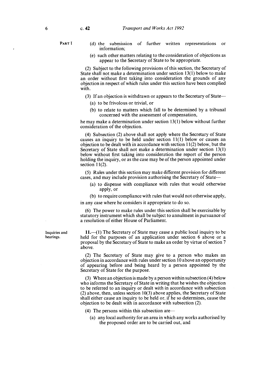- PART I (d) the submission of further written representations or information;
	- (e) such other matters relating to the consideration of objections as appear to the Secretary of State to be appropriate.

(2) Subject to the following provisions of this section, the Secretary of State shall not make a determination under section 13(1) below to make an order without first taking into consideration the grounds of any objection in respect of which rules under this section have been complied with.

- (3) If an objection is withdrawn or appears to the Secretary of State—
	- (a) to be frivolous or trivial, or
	- (b) to relate to matters which fall to be determined by a tribunal concerned with the assessment of compensation,

he may make a determination under section 13(1) below without further consideration of the objection.

(4) Subsection (2) above shall not apply where the Secretary of State causes an inquiry to be held under section 11(1) below or causes an objection to be dealt with in accordance with section 11(2) below, but the Secretary of State shall not make a determination under section 13(1) below without first taking into consideration the report of the person holding the inquiry, or as the case may be of the person appointed under section 11(2).

(5) Rules under this section may make different provision for different cases, and may include provision authorising the Secretary of State—

- (a) to dispense with compliance with rules that would otherwise apply, or
- (b) to require compliance with rules that would not otherwise apply,

in any case where he considers it appropriate to do so.

(6) The power to make rules under this section shall be exercisable by statutory instrument which shall be subject to annulment in pursuance of a resolution of either House of Parliament.

Inquiries and  $11.-(1)$  The Secretary of State may cause a public local inquiry to be hearings. held for the purposes of an application under section 6 above or a proposal by the Secretary of State to make an order by virtue of section <sup>7</sup> above.

> (2) The Secretary of State may give to a person who makes an objection in accordance with rules under section 10 above an opportunity of appearing before and being heard by a person appointed by the Secretary of State for the purpose.

> (3) Where an objection is made by a person within subsection (4) below who informs the Secretary of State in writing that he wishes the objection to be referred to an inquiry or dealt with in accordance with subsection (2) above, then, unless section 10(3) above applies, the Secretary of State shall either cause an inquiry to be held or, if he so determines, cause the objection to be dealt with in accordance with subsection (2).

(4) The persons within this subsection are—

(a) any local authority for an area in which any works authorised by the proposed order are to be carried out, and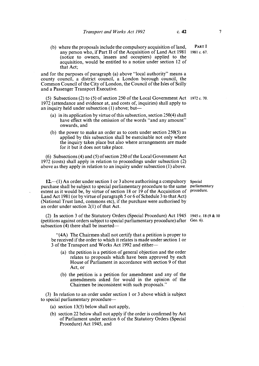(b) where the proposals include the compulsory acquisition of land, PART I<br>any person who, if Part II of the Acquisition of Land Act 1981 1981 c. 67. any person who, if Part II of the Acquisition of Land Act 1981 (notice to owners, lessees and occupiers) applied to the acquisition, would be entitled to a notice under section 12 of that Act;

and for the purposes of paragraph (a) above "local authority" means a county council, a district council, a London borough council, the Common Council of the City of London, the Council of the Isles of Scilly and a Passenger Transport Executive.

(5) Subsections (2) to (5) of section 250 of the Local Government Act 1972 c. 70. 1972 (attendance and evidence at, and costs of, inquiries) shall apply to an inquiry held under subsection (I) above; but—

- (a) in its application by virtue of this subsection, section 250(4) shall have effect with the omission of the words "and any amount" onwards, and
- (b) the power to make an order as to costs under section 250(5) as applied by this subsection shall be exercisable not only where the inquiry takes place but also where arrangements are made for it but it does not take place.

(6) Subsections (4) and (5) of section 250 of the Local Government Act 1972 (costs) shall apply in relation to proceedings under subsection (2) above as they apply in relation to an inquiry under subsection (1) above.

12.—(1) An order under section 1 or 3 above authorising a compulsory Special archaes shall be subject to special parliamentary procedure to the same parliamentary purchase shall be subject to special parliamentary procedure to the same parliament<br>extent as it would be by virtue of section 18 or 19 of the Acquisition of procedure. extent as it would be, by virtue of section 18 or 19 of the Acquisition of Land Act 1981 (or by virtue of paragraph 5 or 6 of Schedule 3 to that Act) (National Trust land, commons etc), if the purchase were authorised by an order under section 2(1) of that Act.

(2) In section 3 of the Statutory Orders (Special Procedure) Act 1945 1945 c. 18 (9  $\&$  10 (petitions against orders subject to special parliamentary procedure) after Geo. 6). subsection  $(4)$  there shall be inserted—

"(4A) The Chairmen shall not certify that a petition is proper to be received if the order to which it relates is made under section 1 or <sup>3</sup>of the Transport and Works Act 1992 and either—

- (a) the petition is a petition of general objection and the order relates to proposals which have been approved by each House of Parliament in accordance with section 9 of that Act, or
- (b) the petition is a petition for amendment and any of the amendments asked for would in the opinion of the Chairmen be inconsistent with such proposals."

(3) In relation to an order under section 1 or 3 above which is subject to special parliamentary procedure—

- (a) section 13(5) below shall not apply,
- (b) section 22 below shall not apply if the order is confirmed by Act of Parliament under section 6 of the Statutory Orders (Special Procedure) Act 1945, and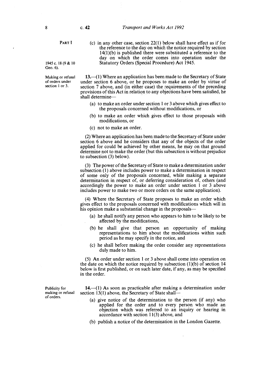**PART I** (c) in any other case, section  $22(1)$  below shall have effect as if for the reference to the day on which the notice required by section 14(1)(b) is published there were substituted a reference to the day on which the order comes into operation under the 1945 c. 18(9 & 10 Statutory Orders (Special Procedure) Act 1945.

Geo. 6).

Making or refusal 13.—(1) Where an application has been made to the Secretary of State<br>of orders under under section 6 above, or he proposes to make an order by virtue of of orders under under section 6 above, or he proposes to make an order by virtue of section 1 or 3.  $\frac{1}{2}$  section 7 above, and (in either case) the requirements of the preceding section 7 above, and (in either case) the requirements of the preceding provisions of this Act in relation to any objections have been satisfied, he shall determine—

- (a) to make an order under section 1 or 3 above which gives effect to the proposals concerned without modifications, or
- (b) to make an order which gives effect to those proposals with modifications, or
- (c) not to make an order.

(2) Where an application has been made to the Secretary of State under section 6 above and he considers that any of the objects of the order applied for could be achieved by other means, he may on that ground determine not to make the order (but this subsection is without prejudice to subsection (3) below).

(3) The power of the Secretary of State to make a determination under subsection (1) above includes power to make a determination in respect of some only of the proposals concerned, while making a separate determination in respect of, or deferring consideration of, others (and accordingly the power to make an order under section 1 or 3 above includes power to make two or more orders on the same application).

(4) Where the Secretary of State proposes to make an order which gives effect to the proposals concerned with modifications which will in his opinion make a substantial change in the proposals-

- (a) he shall notify any person who appears to him to be likely to be affected by the modifications,
- (b) he shall give that person an opportunity of making representations to him about the modifications within such period as he may specify in the notice, and
- (c) he shall before making the order consider any representations duly made to him.

(5) An order under section 1 or 3 above shall come into operation on the date on which the notice required by subsection  $(1)(b)$  of section 14 below is first published, or on such later date, if any, as may be specified in the order.

of orders.

Publicity for 14.—(1) As soon as practicable after making a determination under making or refusal section 13(1) above, the Secretary of State shall section 13(1) above, the Secretary of State shall-

- (a) give notice of the determination to the person (if any) who applied for the order and to every person who made an objection which was referred to an inquiry or hearing in accordance with section 11(3) above, and
- (b) publish a notice of the determination in the London Gazette.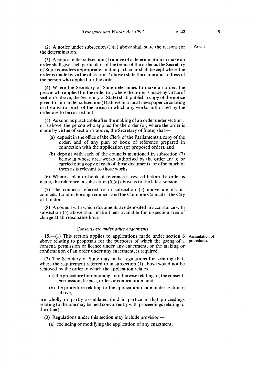(2) A notice under subsection  $(1)(a)$  above shall state the reasons for PART I the determination.

(3) A notice under subsection (1) above of a determination to make an order shall give such particulars of the terms of the order as the Secretary of State considers appropriate, and in particular shall (except where the order is made by virtue of section 7 above) state the name and address of the person who applied for the order.

(4) Where the Secretary of State determines to make an order, the person who applied for the order (or, where the order is made by virtue of section 7 above, the Secretary of State) shall publish a copy of the notice given to him under subsection (1) above in a local newspaper circulating in the area (or each of the areas) in which any works authorised by the order are to be carried out.

(5) As soon as practicable after the making of an order under section <sup>1</sup> or 3 above, the person who applied for the order (or, where the order is made by virtue of section 7 above, the Secretary of State) shall—

- (a) deposit in the office of the Clerk of the Parliaments a copy of the order, and of any plan or book of reference prepared in connection with the application (or proposed order), and
- (b) deposit with each of the councils mentioned in subsection (7) below in whose area works authorised by the order are to be carried out a copy of each of those documents, or of so much of them as is relevant to those works.

(6) Where a plan or book of reference is revised before the order is made, the reference in subsection (5)(a) above is to the latest version.

(7) The councils referred to in subsection (5) above are district councils, London borough councils and the Common Council of the City of London.

(8) A council with which documents are deposited in accordance with subsection (5) above shall make them available for inspection free of charge at all reasonable hours.

#### Consents etc under other enactments

15.—(1) This section applies to applications made under section 6 Assimilation of a procedures. above relating to proposals for the purposes of which the giving of a consent, permission or licence under any enactment, or the making or confirmation of an order under any enactment, is required.

(2) The Secretary of State may make regulations for securing that, where the requirement referred to in subsection (1) above would not be removed by the order to which the application relates—

- (a) the procedure for obtaining, or otherwise relating to, the consent, permission, licence, order or confirmation, and
- (b) the procedure relating to the application made under section 6 above,

are wholly or partly assimilated (and in particular that proceedings relating to the one may be held concurrently with proceedings relating to the other).

- (3) Regulations under this section may include provision—
	- (a) excluding or modifying the application of any enactment;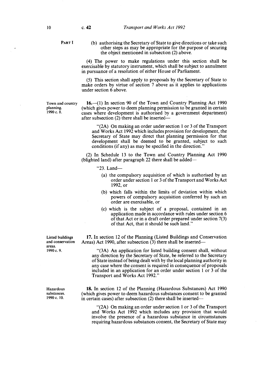PART I (b) authorising the Secretary of State to give directions or take such other steps as may be appropriate for the purpose of securing the object mentioned in subsection (2) above.

> (4) The power to make regulations under this section shall be exercisable by statutory instrument, which shall be subject to annulment in pursuance of a resolution of either House of Parliament.

> (5) This section shall apply to proposals by the Secretary of State to make orders by virtue of section 7 above as it applies to applications under section 6 above.

Town and country  $16.$ —(1) In section 90 of the Town and Country Planning Act 1990 planning (which gives nower to deem planning permission to be granted in certain planning. (which gives power to deem planning permission to be granted in certain planning permission to be granted in certain planning permission to be granted in certain cases where development is authorised by a government department) after subsection (2) there shall be inserted—

> "(2A) On making an order under section 1 or 3 of the Transport and Works Act 1992 which includes provision for development, the Secretary of State may direct that planning permission for that development shall be deemed to be granted, subject to such conditions (if any) as may be specified in the direction.'

(2) In Schedule 13 to the Town and Country Planning Act 1990 (blighted land) after paragraph 22 there shall be added—

"23. Land—

- (a) the compulsory acquisition of which is authorised by an order under section 1 or 3 of the Transport and Works Act 1992, or
- (b) which falls within the limits of deviation within which powers of compulsory acquisition conferred by such an order are exercisable, or
- (c) which is the subject of a proposal, contained in an application made in accordance with rules under section 6 of that Act or in a draft order prepared under section 7(3) of that Act, that it should be such land."

Listed buildings 17. In section 12 of the Planning (Listed Buildings and Conservation and conservation Areas) Act 1990 after subsection (3) there shall be inserted— Areas) Act 1990, after subsection  $(3)$  there shall be inserted—

> "(3A) An application for listed building consent shall, without any direction by the Secretary of State, be referred to the Secretary of State instead of being dealt with by the local planning authority in any case where the consent is required in consequence of proposals included in an application for an order under section 1 or 3 of the Transport and Works Act 1992."

Hazardous 18. In section 12 of the Planning (Hazardous Substances) Act 1990<br>substances. (which gives nower to deem hazardous substances consent to be granted substances. (which gives power to deem hazardous substances consent to be granted 1990 c. 10.  $\frac{1}{2}$  in certain cases) after subsection (2) there shall be inserted in certain cases) after subsection  $(2)$  there shall be inserted—

> "(2A) On making an order under section 1 or 3 of the Transport and Works Act 1992 which includes any provision that would involve the presence of a hazardous substance in circumstances requiring hazardous substances consent, the Secretary of State may

areas.<br>1990 c. 9.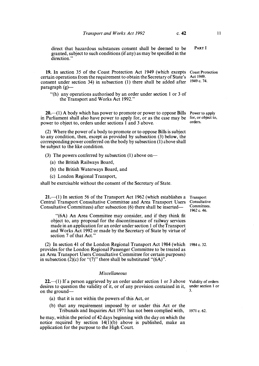direct that hazardous substances consent shall be deemed to be PART <sup>I</sup> granted, subject to such conditions (if any) as may be specified in the direction.'

19. In section 35 of the Coast Protection Act 1949 (which excepts Coast Protection certain operations from the requirement to obtain the Secretary of State's Act 1949.<br>consent under section 34) in subsection (1) there shall be added after 1949 c. 74. consent under section 34) in subsection  $(1)$  there shall be added after paragraph (g)—

"(h) any operations authorised by an order under section 1 or 3 of the Transport and Works Act 1992."

20.—(l) A body which has power to promote or power to oppose Bills Power to apply in Parliament shall also have power to apply for, or as the case may be for, or object to,<br>nower to object to, orders under sections 1 and 3 above power to object to, orders under sections 1 and 3 above.

(2) Where the power of a body to promote or to oppose Bills is subject to any condition, then, except as provided by subsection (3) below, the corresponding power conferred on the body by subsection (1) above shall be subject to the like condition.

(3) The powers conferred by subsection (1) above on—

- (a) the British Railways Board,
- (b) the British Waterways Board, and
- (c) London Regional Transport,

shall be exercisable without the consent of the Secretary of State.

21.—(l) In section 56 of the Transport Act 1962 (which establishes a Transport Central Transport Consultative Committee and Area Transport Users Consultative Consultative Committees) after subsection  $(6)$  there shall be inserted—

"(6A) An Area Committee may consider, and if they think fit object to, any proposal for the discontinuance of railway services made in an application for an order under section 1 of the Transport and Works Act 1992 or made by the Secretary of State by virtue of section 7 of that Act."

(2) In section 41 of the London Regional Transport Act 1984 (which 1984c. 32. provides for the London Regional Passenger Committee to be treated as an Area Transport Users Consultative Committee for certain purposes) in subsection (2)(c) for "(7)" there shall be substituted " $(6A)$ ".

# Miscellaneous

**22.**—(1) If a person aggrieved by an order under section 1 or 3 above Validity of orders sires to question the validity of it, or of any provision contained in it. under section 1 or desires to question the validity of it, or of any provision contained in it,  $\frac{u}{3}$ on the ground— 3.

- (a) that it is not within the powers of this Act, or
- (b) that any requirement imposed by or under this Act or the Tribunals and Inquiries Act 1971 has not been complied with, 1971 c. 62.

he may, within the period of 42 days beginning with the day on which the notice required by section  $14(1)(b)$  above is published, make an application for the purpose to the High Court.

1962 c. 46.

 $\overline{11}$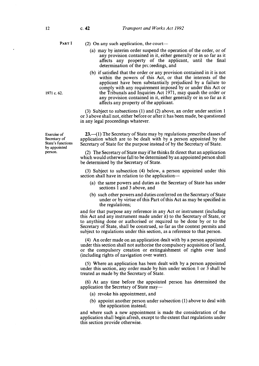- PART I (2) On any such application, the court—
	- (a) may by interim order suspend the operation of the order, or of any provision contained in it, either generally or in so far as it affects any property of the applicant, until the final determination of the prc ceedings, and
- (b) if satisfied that the order or any provision contained in it is not within the powers of this Act, or that the interests of the applicant have been substantially prejudiced by a failure to comply with any requirement imposed by or under this Act or 1971 c. 62. the Tribunals and Inquiries Act 1971, may quash the order or any provision contained in it, either generally or in so far as it affects any property of the applicant.

(3) Subject to subsections (1) and (2) above, an order under section <sup>1</sup> or 3 above shall not, either before or after it has been made, be questioned in any legal proceedings whatever.

by appointed

Exercise of 23.—(1) The Secretary of State may by regulations prescribe classes of Secretary of application which are to be dealt with by a person appointed by the Secretary of State Secretary of State Secretary of State for the purpose instead of by the Secretary of State.

person. (2) The Secretary of State may if he thinks fit direct that an application which would otherwise fall to be determined by an appointed person shall be determined by the Secretary of State.

> (3) Subject to subsection (4) below, a person appointed under this section shall have in relation to the application—

- (a) the same powers and duties as the Secretary of State has under sections 1 and 3 above, and
- (b) such other powers and duties conferred on the Secretary of State under or by virtue of this Part of this Act as may be specified in the regulations;

and for that purpose any reference in any Act or instrument (including this Act and any instrument made under it) to the Secretary of State, or to anything done or authorised or required to be done by or to the Secretary of State, shall be construed, so far as the context permits and subject to regulations under this section, as a reference to that person.

(4) An order made on an application dealt with by a person appointed under this section shall not authorise the compulsory acquisition of land, or the compulsory creation or extinguishment of rights over land (including rights of navigation over water).

(5) Where an application has been dealt with by a person appointed under this section, any order made by him under section 1 or 3 shall be treated as made by the Secretary of State.

(6) At any time before the appointed person has determined the application the Secretary of State may—

- (a) revoke his appointment, and
- (b) appoint another person under subsection (1) above to deal with the application instead;

and where such a new appointment is made the consideration of the application shall begin afresh, except to the extent that regulations under this section provide otherwise.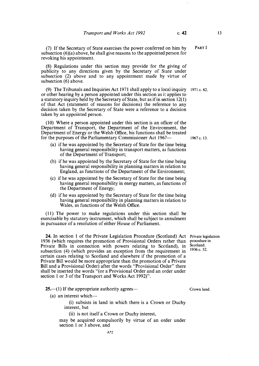(7) If the Secretary of State exercises the power conferred on him by PART <sup>I</sup> subsection (6)(a) above, he shall give reasons to the appointed person for revoking his appointment.

(8) Regulations under this section may provide for the giving of publicity to any directions given by the Secretary of State under subsection (2) above and to any appointment made by virtue of subsection (6) above.

(9) The Tribunals and Inquiries Act 1971 shall apply to a local inquiry 1971 c. 62. or other hearing by a person appointed under this section as it applies to a statutory inquiry held by the Secretary of State, but as if in section 12(1) of that Act (statement of reasons for decisions) the reference to any decision taken by the Secretary of State were a reference to a decision taken by an appointed person.

(10) Where a person appointed under this section is an officer of the Department of Transport, the Department of the Environment, the Department of Energy or the Welsh Office, his functions shall be treated for the purposes of the Parliamentary Commissioner Act 1967— 1967 c. 13.

- (a) if he was appointed by the Secretary of State for the time being having general responsibility in transport matters, as functions of the Department of Transport;
- (b) if he was appointed by the Secretary of State for the time being having general responsibility in planning matters in relation to England, as functions of the Department of the Environment;
- (c) if he was appointed by the Secretary of State for the time being having general responsibility in energy matters, as functions of the Department of Energy;
- (d) if he was appointed by the Secretary of State for the time being having general responsibility in planning matters in relation to Wales, as functions of the Welsh Office.

(11) The power to make regulations under this section shall be exercisable by statutory instrument, which shall be subject to annulment in pursuance of a resolution of either House of Parliament.

24. In section 1 of the Private Legislation Procedure (Scotland) Act Private legislation 136 (which requires the promotion of Provisional Orders rather than procedure in 1936 (which requires the promotion of Provisional Orders rather than procedure<br>Private Bills in connection with powers relating to Scotland) in Scotland. Private Bills in connection with powers relating to Scotland), in Scotland.<br>expection (4) (which provides an avecration from the requirement in 1936 c. 52. subsection  $(4)$  (which provides an exception from the requirement in certain cases relating to Scotland and elsewhere if the promotion of a Private Bill would be more appropriate than the promotion of a Private Bill and a Provisional Order) after the words "Provisional Order" there shall be inserted the words "(or a Provisional Order and an order under section 1 or 3 of the Transport and Works Act 1992)".

25.—(1) If the appropriate authority agrees— Crown land.

(a) an interest which—

(i) subsists in land in which there is a Crown or Duchy interest, but

(ii) is not itself a Crown or Duchy interest,

may be acquired compulsorily by virtue of an order under section 1 or 3 above, and

 $A^*2$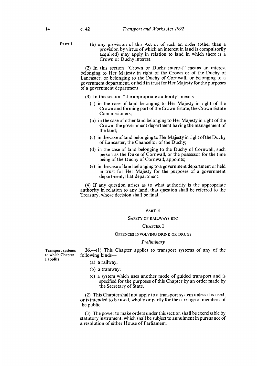PART I (b) any provision of this Act or of such an order (other than a provision by virtue of which an interest in land is compulsorily acquired) may apply in relation to land in which there is a Crown or Duchy interest.

> (2) In this section "Crown or Duchy interest" means an interest belonging to Her Majesty in right of the Crown or of the Duchy of Lancaster, or belonging to the Duchy of Cornwall, or belonging to a government department, or held in trust for Her Majesty for the purposes of a government department.

- (3) In this section "the appropriate authority" means—
	- (a) in the case of land belonging to Her Majesty in right of the Crown and forming part of the Crown Estate, the Crown Estate Commissioners;
	- (b) in the case of other land belonging to Her Majesty in right of the Crown, the government department having the management of the land;
	- (c) in the case of land belonging to Her Majesty in right of the Duchy of Lancaster, the Chancellor of the Duchy;
	- (d) in the case of land belonging to the Duchy of Cornwall, such person as the Duke of Cornwall, or the possessor for the time being of the Duchy of Cornwall, appoints;
	- (e) in the case of land belonging to a government department or held in trust for Her Majesty for the purposes of a government department, that department.

(4) If any question arises as to what authority is the appropriate authority in relation to any land, that question shall be referred to the Treasury, whose decision shall be final.

#### PART II

#### SAFETY OF RAILWAYS ETC

# CHAPTER I

#### OFFENCES INVOLVING DRINK OR DRUGS

# Preliminary

I applies.

- Transport systems **26.**—(1) This Chapter applies to transport systems of any of the to which Chapter following kinds following kinds—
	- (a) a railway;
	- (b) a tramway;
	- (c) a system which uses another mode of guided transport and is specified for the purposes of this Chapter by an order made by the Secretary of State.

(2) This Chapter shall not apply to a transport system unless it is used, or is intended to be used, wholly or partly for the carriage of members of the public.

(3) The power to make orders under this section shall be exercisable by statutory instrument, which shall be subject to annulment in pursuance of a resolution of either House of Parliament.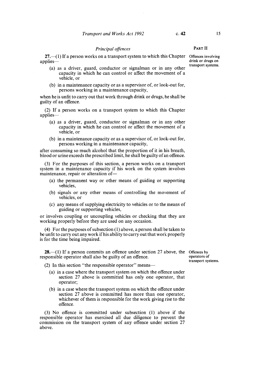# Principal offences PART II

27.—(1) If a person works on a transport system to which this Chapter Offences involving applies— $\frac{1}{2}$ 

- (a) as a driver, guard, conductor or signalman or in any other capacity in which he can control or affect the movement of a vehicle, or
- (b) in a maintenance capacity or as a supervisor of, or look-out for, persons working in a maintenance capacity,

when he is unfit to carry out that work through drink or drugs, he shall be guilty of an offence.

(2) If a person works on a transport system to which this Chapter applies—

- (a) as a driver, guard, conductor or signalman or in any other capacity in which he can control or affect the movement of a vehicle, or
- (b) in a maintenance capacity or as a supervisor of, or look-out for, persons working in a maintenance capacity,

after consuming so much alcohol that the proportion of it in his breath, blood or urine exceeds the prescribed limit, he shall be guilty of an offence.

(3) For the purposes of this section, a person works on a transport system in a maintenance capacity if his work on the system involves maintenance, repair or alteration of—

- (a) the permanent way or other means of guiding or supporting vehicles,
- (b) signals or any other means of controlling the movement of vehicles, or
- (c) any means of supplying electricity to vehicles or to the means of guiding or supporting vehicles,

or involves coupling or uncoupling vehicles or checking that they are working properly before they are used on any occasion.

(4) For the purposes of subsection (1) above, a person shall be taken to be unfit to carry out any work if his ability to carry out that work properly is for the time being impaired.

**28.**—(1) If a person commits an offence under section 27 above, the Offences by sponsible operator shall also be quilty of an offence responsible operator shall also be guilty of an offence.

(2) In this section "the responsible operator" means—

- (a) in a case where the transport system on which the offence under section 27 above is committed has only one operator, that operator;
- (b) in a case where the transport system on which the offence under section 27 above is committed has more than one operator, whichever of them is responsible for the work giving rise to the offence.

(3) No offence is committed under subsection (1) above if the responsible operator has exercised all due diligence to prevent the commission on the transport system of any offence under section 27 above.

transport systems.

drink or drugs on transport systems.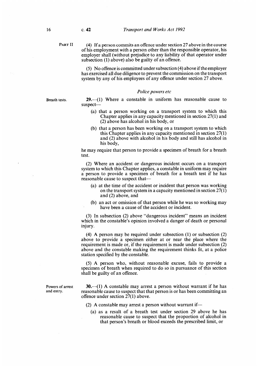PART II (4) If a person commits an offence under section 27 above in the course of his employment with a person other than the responsible operator, his employer shall (without prejudice to any liability of that operator under subsection (1) above) also be guilty of an offence.

> (5) No offence is committed under subsection (4) above if the employer has exercised all due diligence to prevent the commission on the transport system by any of his employees of any offence under section 27 above.

#### Police powers etc

Breath tests. 29.—(l) Where a constable in uniform has reasonable cause to suspect—

- (a) that a person working on a transport system to which this Chapter applies in any capacity mentioned in section 27(1) and (2) above has alcohol in his body, or
- (b) that a person has been working on a transport system to which this Chapter applies in any capacity mentioned in section 27(1) and (2) above with alcohol in his body and still has alcohol in his body,

he may require that person to provide a specimen of breath for a breath test.

(2) Where an accident or dangerous incident occurs on a transport system to which this Chapter applies, a constable in uniform may require a person to provide a specimen of breath for a breath test if he has reasonable cause to suspect that—

- (a) at the time of the accident or incident that person was working on the transport system in a capacity mentioned in section  $27(1)$ and (2) above, and
- (b) an act or omission of that person while he was so working may have been a cause of the accident or incident.

(3) In subsection (2) above "dangerous incident" means an incident which in the constable's opinion involved a danger of death or personal injury.

(4) A person may be required under subsection (1) or subsection (2) above to provide a specimen either at or near the place where the requirement is made or, if the requirement is made under subsection (2) above and the constable making the requirement thinks fit, at a police station specified by the constable.

(5) A person who, without reasonable excuse, fails to provide a specimen of breath when required to do so in pursuance of this section shall be guilty of an offence.

Powers of arrest  $30$ —(1) A constable may arrest a person without warrant if he has and entry. reasonable cause to suspect that that person is or has been committing an offence under section 27(1) above.

(2) A constable may arrest a person without warrant if—

(a) as a result of a breath test under section 29 above he has reasonable cause to suspect that the proportion of alcohol in that person's breath or blood exceeds the prescribed limit, or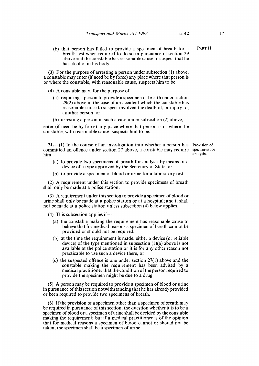(b) that person has failed to provide a specimen of breath for a PART II breath test when required to do so in pursuance of section 29 above and the constable has reasonable cause to suspect that he has alcohol in his body.

(3) For the purpose of arresting a person under subsection (1) above, a constable may enter (if need be by force) any place where that person is or where the constable, with reasonable cause, suspects him to be.

(4) A constable may, for the purpose of—

- (a) requiring a person to provide a specimen of breath under section  $29(2)$  above in the case of an accident which the constable has reasonable cause to suspect involved the death of, or injury to, another person, or
- (b) arresting a person in such a case under subsection (2) above,

enter (if need be by force) any place where that person is or where the constable, with reasonable cause, suspects him to be.

 $31$ —(1) In the course of an investigation into whether a person has Provision of numitted an offence under section 27 above, a constable may require specimens for committed an offence under section  $27$  above, a constable may require specimer him—<br>him him—<br>him—<br>analysis.

- (a) to provide two specimens of breath for analysis by means of a device of a type approved by the Secretary of State, or
- (b) to provide a specimen of blood or urine for a laboratory test.

(2) A requirement under this section to provide specimens of breath shall only be made at a police station.

(3) A requirement under this section to provide a specimen of blood or urine shall only be made at a police station or at a hospital; and it shall not be made at a police station unless subsection (4) below applies.

(4) This subsection applies if—

- (a) the constable making the requirement has reasonable cause to believe that for medical reasons a specimen of breath cannot be provided or should not be required,
- (b) at the time the requirement is made, either a device (or reliable device) of the type mentioned in subsection  $(1)(a)$  above is not available at the police station or it is for any other reason not practicable to use such a device there, or
- (c) the suspected offence is one under section 27(1) above and the constable making the requirement has been advised by a medical practitioner that the condition of the person required to provide the specimen might be due to a drug.

(5) A person may be required to provide a specimen of blood or urine in pursuance of this section notwithstanding that he has already provided or been required to provide two specimens of breath.

(6) If the provision of a specimen other than a specimen of breath may be required in pursuance of this section, the question whether it is to be a specimen of blood or a specimen of urine shall be decided by the constable making the requirement; but if a medical practitioner is of the opinion that for medical reasons a specimen of blood cannot or should not be taken, the specimen shall be a specimen of urine.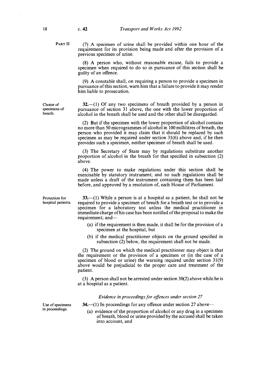PART II (7) A specimen of urine shall be provided within one hour of the requirement for its provision being made and after the provision of a previous specimen of urine.

> (8) A person who, without reasonable excuse, fails to provide a specimen when required to do so in pursuance of this section shall be guilty of an offence.

> (9) A constable shall, on requiring a person to provide a specimen in pursuance of this section, warn him that a failure to provide it may render him liable to prosecution.

Choice of  $\frac{32}{-1}$  Of any two specimens of breath provided by a person in specimens of pursuance of section 31 above, the one with the lower proportion of specimens of pursuance of section 31 above, the one with the lower proportion of breath. alcohol in the breath shall be used and the other shall be disregarded.

> (2) But if the specimen with the lower proportion of alcohol contains no more than 50 microgrammes of alcohol in 100 millilitres of breath, the person who provided it may claim that it should be replaced by such specimen as may be required under section 31(6) above and, if he then provides such a specimen, neither specimen of breath shall be used.

> (3) The Secretary of State may by regulations substitute another proportion of alcohol in the breath for that specified in subsection (2) above.

> (4) The power to make regulations under this section shall be exercisable by statutory instrument; and no such regulations shall be made unless a draft of the instrument containing them has been laid before, and approved by a resolution of, each House of Parliament.

Protection for  $33$ —(1) While a person is at a hospital as a patient, he shall not be hospital patients. required to provide a specimen of breath for a breath test or to provide a required to provide a specimen of breath for a breath test or to provide a specimen for a laboratory test unless the medical practitioner in immediate charge of his case has been notified of the proposal to make the requirement; and—

- (a) if the requirement is then made, it shall be for the provision of a specimen at the hospital, but
- (b) if the medical practitioner objects on the ground specified in subsection (2) below, the requirement shall not be made.

(2) The ground on which the medical practitioner may object is that the requirement or the provision of a specimen or (in the case of a specimen of blood or urine) the warning required under section 31(9) above would be prejudicial to the proper care and treatment of the patient.

(3) A person shall not be arrested under section 30(2) above while he is at a hospital as a patient.

# Evidence in proceedings for offences under section 27

Use of specimens  $34$ —(1) In proceedings for any offence under section 27 above—

(a) evidence of the proportion of alcohol or any drug in a specimen of breath, blood or urine provided by the accused shall be taken into account, and

in proceedings.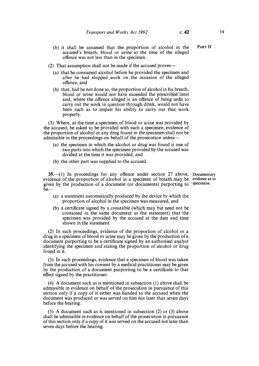- (b) it shall be assumed that the proportion of alcohol in the PART II accused's breath, blood or urine at the time of the alleged offence was not less than in the specimen.
- (2) That assumption shall not be made if the accused proves—
	- (a) that he consumed alcohol before he provided the specimen and after he had stopped work on the occasion of the alleged offence, and
	- (b) that, had he not done so, the proportion of alcohol in his breath, blood or urine would not have exceeded the prescribed limit and, where the offence alleged is an offence of being unfit to carry out the work in question through drink, would not have been such as to impair his ability to carry out that work properly.

(3) Where, at the time a specimen of blood or urine was provided by the accused, he asked to be provided with such a specimen, evidence of the proportion of alcohol or any drug found in the specimen shall not be admissible in the proceedings on behalf of the prosecution unless—

- (a) the specimen in which the alcohol or drug was found is one of two parts into which the specimen provided by the accused was divided at the time it was provided, and
- (b) the other part was supplied to the accused.

35.—(1) In proceedings for any offence under section 27 above, Documentary idence of the proportion of alcohol in a specimen of breath may be evidence as to evidence of the proportion of alcohol in a specimen of breath may be evidence as oiven by the production of a document (or documents) purporting to specimens. given by the production of a document (or documents) purporting to be—

- (a) a statement automatically produced by the device by which the proportion of alcohol in the specimen was measured, and
- (b) a certificate signed by a constable (which may but need not be contained in the same document as the statement) that the specimen was provided by the accused at the date and time shown in the statement.

(2) In such proceedings, evidence of the proportion of alcohol or a drug in a specimen of blood or urine may be given by the production of a document purporting to be a certificate signed by an authorised analyst identifying the specimen and stating the proportion of alcohol or drug found in it.

(3) In such proceedings, evidence that a specimen of blood was taken from the accused with his consent by a medical practitioner may be given by the production of a document purporting to be a certificate to that effect signed by the practitioner.

(4) A document such as is mentioned in subsection (1) above shall be admissible in evidence on behalf of the prosecution in pursuance of this section only if a copy of it either was handed to the accused when the document was produced or was served on him not later than seven days before the hearing.

(5) A document such as is mentioned in subsection (2) or (3) above shall be admissible in evidence on behalf of the prosecution in pursuance of this section only if a copy of it was served on the accused not later than seven days before the hearing.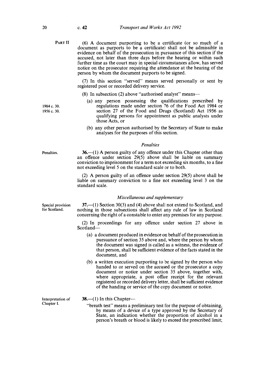PART II (6) A document purporting to be a certificate (or so much of a document as purports to be a certificate) shall not be admissible in evidence on behalf of the prosecution in pursuance of this section if the accused, not later than three days before the hearing or within such further time as the court may in special circumstances allow, has served notice on the prosecutor requiring the attendance at the hearing of the person by whom the document purports to be signed.

> (7) In this section "served" means served personally or sent by registered post or recorded delivery service.

- (8) In subsection (2) above "authorised analyst" means—
- (a) any person possessing the qualifications prescribed by <sup>1984</sup>c. 30. regulations made under section 76 of the Food Act 1984 or <sup>1956</sup>c. 30. section 27 of the Food and Drugs (Scotland) Act 1956 as qualifying persons for appointment as public analysts under those Acts, or
	- (b) any other person authorised by the Secretary of State to make analyses for the purposes of this section.

#### Penalties

Penalties.  $36-1$  A person guilty of any offence under this Chapter other than an offence under section 29(5) above shall be liable on summary conviction to imprisonment for a term not exceeding six months, to a fine not exceeding level 5 on the standard scale or to both.

> (2) A person guilty of an offence under section 29(5) above shall be liable on summary conviction to a fine not exceeding level 3 on the standard scale.

# Miscellaneous and supplementary

Special provision  $37.$ —(1) Section 30(3) and (4) above shall not extend to Scotland, and for Scotland. nothing in those subsections shall affect any rule of law in Scotland nothing in those subsections shall affect any rule of law in Scotland. concerning the right of a constable to enter any premises for any purpose.

> (2) In proceedings for any offence under section 27 above in Scotland—

- (a) a document produced in evidence on behalf of the prosecution in pursuance of section 35 above and, where the person by whom the document was signed is called as a witness, the evidence of that person, shall be sufficient evidence of the facts stated in the document, and
- (b) a written execution purporting to be signed by the person who handed to or served on the accused or the prosecutor a copy document or notice under section 35 above, together with, where appropriate, a post office receipt for the relevant registered or recorded delivery letter, shall be sufficient evidence of the handing or service of the copy document or notice.

- Interpretation of  $38$ .—(1) In this Chapter—<br>Chapter I. (thurst) test?' we are a re-
	- "breath test" means a preliminary test for the purpose of obtaining, by means of a device of a type approved by the Secretary of State, an indication whether the proportion of alcohol in a person's breath or blood is likely to exceed the prescribed limit;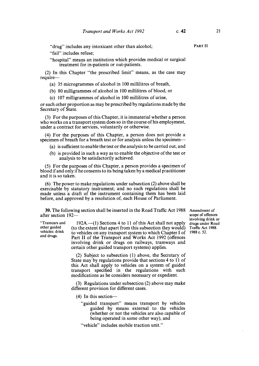"drug" includes any intoxicant other than alcohol; PART II

"fail" includes refuse;

"hospital" means an institution which provides medical or surgical treatment for in-patients or out-patients.

(2) In this Chapter "the prescribed limit" means, as the case may require—

(a) 35 microgrammes of alcohol in 100 millilitres of breath,

(b) 80 milligrammes of alcohol in 100 millilitres of blood, or

(c) 107 milligrammes of alcohol in 100 millilitres of urine,

or such other proportion as may be prescribed by regulations made by the Secretary of State.

(3) For the purposes of this Chapter, it is immaterial whether a person who works on a transport system does so in the course of his employment, under a contract for services, voluntarily or otherwise.

(4) For the purposes of this Chapter, a person does not provide a specimen of breath for a breath test or for analysis unless the specimen—

(a) is sufficient to enable the test or the analysis to be carried out, and

(b) is provided in such a way as to enable the objective of the test or analysis to be satisfactorily achieved.

(5) For the purposes of this Chapter, a person provides a specimen of blood if and only if he consents to its being taken by a medical practitioner and it is so taken.

(6) The power to make regulations under subsection (2) above shall be exercisable by statutory instrument; and no such regulations shall be made unless a draft of the instrument containing them has been laid before, and approved by a resolution of, each House of Parliament.

39. The following section shall be inserted in the Road Traffic Act 1988 Amendment of scope of offences after section 192-

"Tramcars and 192A.—(1) Sections 4 to 11 of this Act shall not apply drugs under Road other guided (to the extent that apart from this subsection they would) Traffic Act vehicles: drink to vehicles on any transport system to which Chapter I of 1988 c. 52. vehicles: drink to vehicles on any transport system to which Chapter I of  $\frac{1}{2}$  and drugs. Part II of the Transport and Works Act 1992 (offences involving drink or drugs on railways, tramways and certain other guided transport systems) applies.

> (2) Subject to subsection (1) above, the Secretary of State may by regulations provide that sections 4 to 11 of this Act shall apply to vehicles on a system of guided transport specified in the regulations with such modifications as he considers necessary or expedient.

> (3) Regulations under subsection (2) above may make different provision for different cases.

(4) In this section—

"guided transport" means transport by vehicles guided by means external to the vehicles (whether or not the vehicles are also capable of being operated in some other way), and

"vehicle" includes mobile traction unit."

involving drink or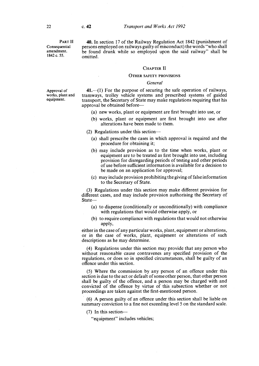**PART II** 40. In section 17 of the Railway Regulation Act 1842 (punishment of Consequential persons employed on railways guilty of misconduct) the words "who shall Consequential persons employed on railways guilty of misconduct) the words "who shall<br>amendment. The found drunk while so employed upon the said railway" shall be amendment. be found drunk while so employed upon the said railway" shall be 1842 c. 55. omitted.

#### CHAPTER II

#### OTHER SAFETY PROVISIONS

#### General

Approval of  $\begin{array}{c} 41 \\ -1 \end{array}$  For the purpose of securing the safe operation of railways, works, plant and tramways, trolley vehicle systems and prescribed systems of guided works, plant and tramways, trolley vehicle systems and prescribed systems of guided equipment. transport, the Secretary of State may make regulations requiring that his approval be obtained before—

- (a) new works, plant or equipment are first brought into use, or
- (b) works, plant or equipment are first brought into use after alterations have been made to them.
- (2) Regulations under this section—
	- (a) shall prescribe the cases in which approval is required and the procedure for obtaining it;
	- (b) may include provision as to the time when works, plant or equipment are to be treated as first brought into use, including provision for disregarding periods of testing and other periods of use before sufficient information is available for a decision to be made on an application for approval;
	- (c) may include provision prohibiting the giving of false information to the Secretary of State.

(3) Regulations under this section may make different provision for different cases, and may include provision authorising the Secretary of State—

- (a) to dispense (conditionally or unconditionally) with compliance with regulations that would otherwise apply, or
- (b) to require compliance with regulations that would not otherwise apply,

either in the case of any particular works, plant, equipment or alterations, or in the case of works, plant, equipment or alterations of such descriptions as he may determine.

(4) Regulations under this section may provide that any person who without reasonable cause contravenes any specified provision of the regulations, or does so in specified circumstances, shall be guilty of an offence under this section.

(5) Where the commission by any person of an offence under this section is due to the act or default of some other person, that other person shall be guilty of the offence, and a person may be charged with and convicted of the offence by virtue of this subsection whether or not proceedings are taken against the first-mentioned person.

(6) A person guilty of an offence under this section shall be liable on summary conviction to a fine not exceeding level 5 on the standard scale.

(7) In this section—

"equipment" includes vehicles;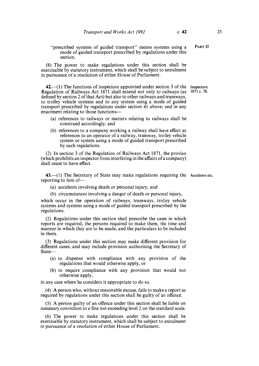"prescribed systems of guided transport" means systems using a PART II mode of guided transport prescribed by regulations under this section.

(8) The power to make regulations under this section shall be exercisable by statutory instrument, which shall be subject to annulment in pursuance of a resolution of either House of Parliament.

42.—(l) The functions of inspectors appointed under section 3 of the Inspectors. Regulation of Railways Act 1871 shall extend not only to railways (as 1871 c. 78. defined by section 2 of that Act) but also to other railways and tramways, to trolley vehicle systems and to any system using a mode of guided transport prescribed by regulations under section 41 above; and in any enactment relating to those functions—

- (a) references to railways or matters relating to railways shall be construed accordingly, and
- (b) references to a company working a railway shall have effect as references to an operator of a railway, tramway, trolley vehicle system or system using a mode of guided transport prescribed by such regulations.

(2) In section 3 of the Regulation of Railways Act 1871, the proviso (which prohibits an inspector from interfering in the affairs of a company) shall cease to have effect.

43.—(1) The Secretary of State may make regulations requiring the Accidents etc. reporting to him of—

(a) accidents involving death or personal injury, and

(b) circumstances involving a danger of death or personal injury,

which occur in the operation of railways, tramways, trolley vehicle systems and systems using a mode of guided transport prescribed by the regulations.

(2) Regulations under this section shall prescribe the cases in which reports are required, the persons required to make them, the time and manner in which they are to be made, and the particulars to be included in them.

(3) Regulations under this section may make different provision for different cases, and may include provision authorising the Secretary of State—

- (a) to dispense with compliance with any provision of the regulations that would otherwise apply, or
- (b) to require compliance with any provision that would not otherwise apply,

in any case where he considers it appropriate to do so.

(4) A person who, without reasonable excuse, fails to make a report as required by regulations under this section shall be guilty of an offence.

(5) A person guilty of an offence under this section shall be liable on summary conviction to a fine not exceeding level 2 on the standard scale.

(6) The power to make regulations under this section shall be exercisable by statutory instrument, which shall be subject to annulment in pursuance of a resolution of either House of Parliament.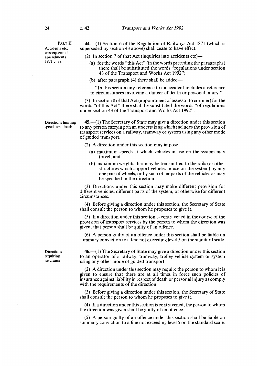consequential

PART II 44.—(1) Section 6 of the Regulation of Railways Act 1871 (which is Accidents etc: superseded by section 43 above) shall cease to have effect. superseded by section 43 above) shall cease to have effect.

- amendments. (2) In section 7 of that Act (inquiries into accidents etc)—<br>1871 c. 78. (a) for the words "this Act" (in the words preceding the r
	- (a) for the words "this Act" (in the words preceding the paragraphs) there shall be substituted the words "regulations under section 43 of the Transport and Works Act 1992";
	- (b) after paragraph (4) there shall be added—

"In this section any reference to an accident includes a reference to circumstances involving a danger of death or personal injury."

(3) In section 8 of that Act (appointment of assessor to coroner) for the words "of this Act" there shall be substituted the words "of regulations under section 43 of the Transport and Works Act 1992".

Directions limiting 45.—(1) The Secretary of State may give a direction under this section speeds and loads. to any person carrying on an undertaking which includes the provision of to any person carrying on an undertaking which includes the provision of transport services on a railway, tramway or system using any other mode of guided transport.

- (2) A direction under this section may impose—
	- (a) maximum speeds at which vehicles in use on the system may travel, and
	- (b) maximum weights that may be transmitted to the rails (or other structures which support vehicles in use on the system) by any one pair of wheels, or by such other parts of the vehicles as may be specified in the direction.

(3) Directions under this section may make different provision for different vehicles, different parts of the system, or otherwise for different circumstances.

(4) Before giving a direction under this section, the Secretary of State shall consult the person to whom he proposes to give it.

(5) If a direction under this section is contravened in the course of the provision of transport services by the person to whom the direction was given, that person shall be guilty of an offence.

(6) A person guilty of an offence under this section shall be liable on summary conviction to a fine not exceeding level 5 on the standard scale.

Directions 46.—(1) The Secretary of State may give a direction under this section requiring to an operator of a railway, tramway, trolley vehicle system or system requiring to an operator of a railway, tramway, trolley vehicle system or system<br>insurance using any other mode of suided transport using any other mode of guided transport.

> (2) A direction under this section may require the person to whom it is given to ensure that there are at all times in force such policies of insurance against liability in respect of death or personal injury as comply with the requirements of the direction.

> (3) Before giving a direction under this section, the Secretary of State shall consult the person to whom he proposes to give it.

> (4) If a direction under this section is contravened, the person to whom the direction was given shall be guilty of an offence.

> (5) A person guilty of an offence under this section shall be liable on summary conviction to a fine not exceeding level 5 on the standard scale.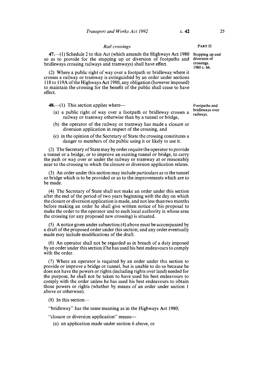# Rail crossings **PART II**

47.—(1) Schedule 2 to this Act (which amends the Highways Act 1980 Stopping up and as to provide for the stopping up or diversion of footpaths and diversion of so as to provide for the stopping up or diversion of footpaths and diversion bridleways crossing railways and tramways) shall have effect bridleways crossing railways and tramways) shall have effect.

(2) Where a public right of way over a footpath or bridleway where it crosses a railway or tramway is extinguished by an order under sections 118 to 11 9A of the Highways Act 1980, any obligation (however imposed) to maintain the crossing for the benefit of the public shall cease to have effect.

48.—(1) This section applies where— Footpaths and

- (a) a public right of way over a footpath or bridleway crosses a  $\frac{\text{oridewa}}{\text{railways}}$ railway or tramway otherwise than by a tunnel or bridge,
- (b) the operator of the railway or tramway has made a closure or diversion application in respect of the crossing, and
- (c) in the opinion of the Secretary of State the crossing constitutes a danger to members of the public using it or likely to use it.

(2) The Secretary of State may by order require the operator to provide a tunnel or a bridge, or to improve an existing tunnel or bridge, to carry the path or way over or under the railway or tramway at or reasonably near to the crossing to which the closure or diversion application relates.

(3) An order under this section may include particulars as to the tunnel or bridge which is to be provided or as to the improvements which are to be made.

(4) The Secretary of State shall not make an order under this section after the end of the period of two years beginning with the day on which the closure or diversion application is made, and not less than two months before making an order he shall give written notice of his proposal to make the order to the operator and to each local authority in whose area the crossing (or any proposed new crossing) is situated.

(5) A notice given under subsection (4) above must be accompanied by a draft of the proposed order under this section; and any order eventually made may include modifications of the draft.

(6) An operator shall not be regarded as in breach of a duty imposed by an order under this section if he has used his best endeavours to comply with the order.

(7) Where an operator is required by an order under this section to provide or improve a bridge or tunnel, but is unable to do so because he does not have the powers or rights (including rights over land) needed for the purpose, he shall not be taken to have used his best endeavours to comply with the order unless he has used his best endeavours to obtain those powers or rights (whether by means of an order under section <sup>1</sup> above or otherwise).

(8) In this section—

"bridleway" has the same meaning as in the Highways Act 1980;

"closure or diversion application" means—

(a) an application made under section 6 above, or

1980 c. 66.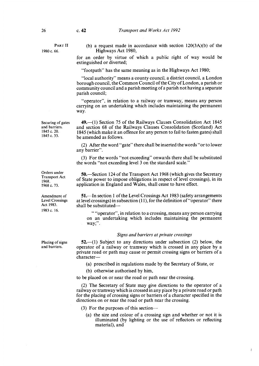PART II 1980 c. 66.

(b) a request made in accordance with section  $120(3A)(b)$  of the Highways Act 1980,

for an order by virtue of which a public right of way would be extinguished or diverted;

"footpath" has the same meaning as in the Highways Act 1980;

"local authority" means a county council, a district council, a London borough council, the Common Council of the City of London, a parish or community council and a parish meeting of a parish not having a separate parish council;

"operator", in relation to a railway or tramway, means any person carrying on an undertaking which includes maintaining the permanent way.

49.—(1) Section 75 of the Railways Clauses Consolidation Act 1845 and section 68 of the Railways Clauses Consolidation (Scotland) Act 1845 (which make it an offence for any person to fail to fasten gates) shall be amended as follows.

(2) After the word "gate" there shall be inserted the words "or to lower any barrier".

(3) For the words "not exceeding" onwards there shall be substituted the words "not exceeding level 3 on the standard scale."

50.—Section 124 of the Transport Act 1968 (which gives the Secretary of State power to impose obligations in respect of level crossings), in its application in England and Wales, shall cease to have effect.

51.—In section 1 of the Level Crossings Act 1983 (safety arrangements at level crossings) in subsection (11), for the definition of "operator" there shall be substituted—

""operator", in relation to a crossing, means any person carrying on an undertaking which includes maintaining the permanent way;".

### Signs and barriers at private crossings

52.—(1) Subject to any directions under subsection (2) below, the operator of a railway or tramway which is crossed in any place by a private road or path may cause or permit crossing signs or barriers of a character—

(a) prescribed in regulations made by the Secretary of State, or

(b) otherwise authorised by him,

to be placed on or near the road or path near the crossing.

(2) The Secretary of State may give directions to the operator of a railway or tramway which is crossed in any place by a private road or path for the placing of crossing signs or barriers of a character specified in the directions on or near the road or path near the crossing.

(3) For the purposes of this section—

(a) the size and colour of a crossing sign and whether or not it is illuminated (by lighting or the use of reflectors or reflecting material), and

 $\overline{t}$ 

Securing of gates and barriers. 1845 c. 20. 1845 c. 33.

Orders under Transport Act 1968. 1968 c. 73.

Amendment of Level Crossings Act 1983. 1983 c. 16.

Placing of signs and barriers.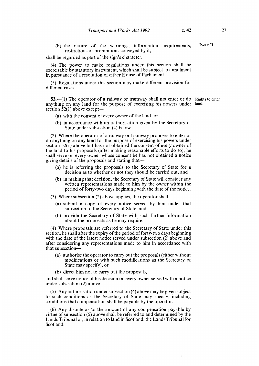(b) the nature of the warnings, information, requirements, PART II restrictions or prohibitions conveyed by it,

shall be regarded as part of the sign's character.

(4) The power to make regulations under this section shall be exercisable by statutory instrument, which shall be subject to annulment in pursuance of a resolution of either House of Parliament.

(5) Regulations under this section may make different provision for different cases.

53.—(1) The operator of a railway or tramway shall not enter or do Rights to enter anything on any land for the purpose of exercising his powers under land. section  $\overline{52(1)}$  above except-

- (a) with the consent of every owner of the land, or
- (b) in accordance with an authorisation given by the Secretary of State under subsection (4) below.

(2) Where the operator of a railway or tramway proposes to enter or do anything on any land for the purpose of exercising his powers under section  $52(1)$  above but has not obtained the consent of every owner of the land to his proposals (after making reasonable efforts to do so), he shall serve on every owner whose consent he has not obtained a notice giving details of the proposals and stating that—

- (a) he is referring the proposals to the Secretary of State for a decision as to whether or not they should be carried out, and
- (b) in making that decision, the Secretary of State will consider any written representations made to him by the owner within the period of forty-two days beginning with the date of the notice.
- (3) Where subsection (2) above applies, the operator shall—
	- (a) submit a copy of every notice served by him under that subsection to the Secretary of State, and
	- (b) provide the Secretary of State with such further information about the proposals as he may require.

(4) Where proposals are referred to the Secretary of State under this section, he shall after the expiry of the period of forty-two days beginning with the date of the latest notice served under subsection (2) above and after considering any representations made to him in accordance with that subsection—

- (a) authorise the operator to carry out the proposals (either without modifications or with such modifications as the Secretary of State may specify), or
- (b) direct him not to carry out the proposals,

and shall serve notice of his decision on every owner served with a notice under subsection (2) above.

(5) Any authorisation under subsection (4) above may be given subject to such conditions as the Secretary of State may specify, including conditions that compensation shall be payable by the operator.

(6) Any dispute as to the amount of any compensation payable by virtue of subsection (5) above shall be referred to and determined by the Lands Tribunal or, in relation to land in Scotland, the Lands Tribunal for Scotland.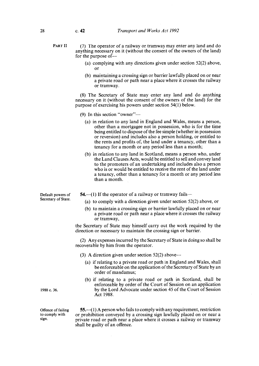- PART II (7) The operator of a railway or tramway may enter any land and do anything necessary on it (without the consent of the owners of the land) for the purpose of—
	- (a) complying with any directions given under section 52(2) above, or
	- (b) maintaining a crossing sign or barrier lawfully placed on or near a private road or path near a place where it crosses the railway or tramway.

(8) The Secretary of State may enter any land and do anything necessary on it (without the consent of the owners of the land) for the purpose of exercising his powers under section 54(1) below.

(9) In this section "owner"—

- (a) in relation to any land in England and Wales, means a person, other than a mortgagee not in possession, who is for the time being entitled to dispose of the fee simple (whether in possession or reversion) and includes also a person holding, or entitled to the rents and profits of, the land under a tenancy, other than a tenancy for a month or any period less than a month;
- (b) in relation to any land in Scotland, means a person who, under the Land Clauses Acts, would be entitled to sell and convey land to the promoters of an undertaking and includes also a person who is or would be entitled to receive the rent of the land under a tenancy, other than a tenancy for a month or any period less than a month.

Default powers of  $\frac{54}{-1}$  If the operator of a railway or tramway fails—<br>Secretary of State.

- (a) to comply with a direction given under section  $52(2)$  above, or
- (b) to maintain a crossing sign or barrier lawfully placed on or near a private road or path near a place where it crosses the railway or tramway,

the Secretary of State may himself carry out the work required by the direction or necessary to maintain the crossing sign or barrier.

(2) Any expenses incurred by the Secretary of State in doing so shall be recoverable by him from the operator.

- (3) A direction given under section 52(2) above—
	- (a) if relating to a private road or path in England and Wales, shall be enforceable on the application of the Secretary of State by an order of mandamus;
- (b) if relating to a private road or path in Scotland, shall be enforceable by order of the Court of Session on an application 1988 c. 36. by the Lord Advocate under section 45 of the Court of Session Act 1988.

Offence of failing  $55.-(1)$  A person who fails to comply with any requirement, restriction to comply with or prohibition conveyed by a crossing sign lawfully placed on or near a to comply with or prohibition conveyed by a crossing sign lawfully placed on or near a sign. private road or path near a place where it crosses a railway or tramway shall be guilty of an offence.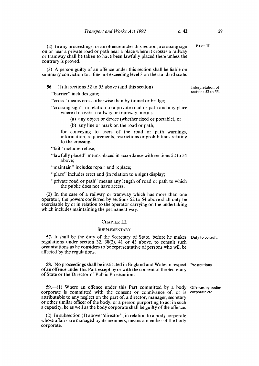(2) In any proceedings for an offence under this section, a crossing sign PART II on or near a private road or path near a place where it crosses a railway or tramway shall be taken to have been lawfully placed there unless the contrary is proved.

(3) A person guilty of an offence under this section shall be liable on summary conviction to a fine not exceeding level 3 on the standard scale.

56.—(1) In sections 52 to 55 above (and this section)— Interpretation of sections 52 to 55.

"barrier" includes gate;

"cross" means cross otherwise than by tunnel or bridge;

"crossing sign", in relation to a private road or path and any place where it crosses a railway or tramway, means—

(a) any object or device (whether fixed or portable), or

(b) any line or mark on the road or path,

for conveying to users of the road or path warnings, information, requirements, restrictions or prohibitions relating to the crossing;

"fail" includes refuse;

"lawfully placed" means placed in accordance with sections 52 to 54 above;

"maintain" includes repair and replace;

"place" includes erect and (in relation to a sign) display;

"private road or path" means any length of road or path to which the public does not have access.

(2) In the case of a railway or tramway which has more than one operator, the powers conferred by sections 52 to 54 above shall only be exercisable by or in relation to the operator carrying on the undertaking which includes maintaining the permanent way.

#### CHAPTER III

#### **SUPPLEMENTARY**

57. It shall be the duty of the Secretary of State, before he makes Duty to consult. regulations under section 32, 38(2), 41 or 43 above, to consult such organisations as he considers to be representative of persons who will be affected by the regulations.

58. No proceedings shall be instituted in England and Wales in respect Prosecutions. of an offence under this Part except by or with the consent of the Secretary of State or the Director of Public Prosecutions.

59.—(l) Where an offence under this Part committed by a body Offences by bodies corporate is committed with the consent or connivance of, or is corporate etc. attributable to any neglect on the part of, a director, manager, secretary or other similar officer of the body, or a person purporting to act in such a capacity, he as well as the body corporate shall be guilty of the offence.

(2) In subsection (1) above "director", in relation to a body corporate whose affairs are managed by its members, means a member of the body corporate.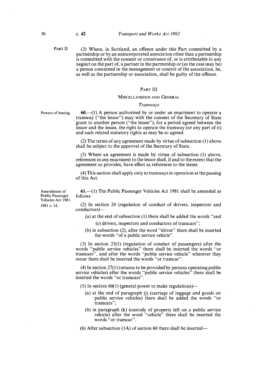PART II (3) Where, in Scotland, an offence under this Part committed by a partnership or by an unincorporated association other than a partnership is committed with the consent or connivance of, or is attributable to any neglect on the part of, a partner in the partnership or (as the case may be) a person concerned in the management or control of the association, he, as well as the partnership or association, shall be guilty of the offence.

# PART III

#### MISCELLANEOUS AND GENERAL

#### **Tramways**

Powers of leasing. 60.—(1) A person authorised by or under an enactment to operate a tramway ("the lessor") may with the consent of the Secretary of State grant to another person ("the lessee"), for a period agreed between the lessor and the lessee, the right to operate the tramway (or any part of it) and such related statutory rights as may be so agreed.

> (2) The terms of any agreement made by virtue of subsection (1) above shall be subject to the approval of the Secretary of State.

> (3) Where an agreement is made by virtue of subsection (1) above, references in any enactment to the lessor shall, if and to the extent that the agreement so provides, have effect as references to the lessee.

> (4) This section shall apply only to tramways in operation at the passing of this Act.

Public Passenger follows. Vehicles Act 1981.

Amendment of 61.—(1) The Public Passenger Vehicles Act 1981 shall be amended as

1981 c. 14. (2) In section 24 (regulation of conduct of drivers, inspectors and conductors)—

- (a) at the end of subsection (1) there shall be added the words "and
	- (c) drivers, inspectors and conductors of tramcars";
- (b) in subsection (2), after the word "driver" there shall be inserted the words "of a public service vehicle".

(3) In section 25(1) (regulation of conduct of passengers) after the words "public service vehicles" there shall be inserted the words "or tramcars", and after the words "public service vehicle" wherever they occur there shall be inserted the words "or tramcar".

(4) In section 27(1) (returns to be provided by persons operating public service vehicles) after the words "public service vehicles" there shall be inserted the words "or tramcars".

(5) In section 60(1) (general power to make regulations)—

- (a) at the end of paragraph (j) (carriage of luggage and goods on public service vehicles) there shall be added the words "or tramcars";
- (b) in paragraph (k) (custody of property left on a public service vehicle) after the word "vehicle" there shall be inserted the words "or tramcar".

(6) After subsection  $(1A)$  of section 60 there shall be inserted—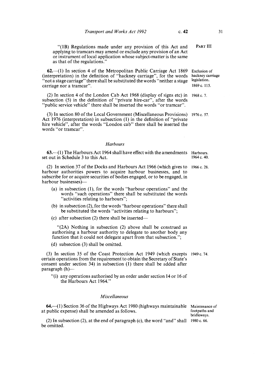"(1B) Regulations made under any provision of this Act and PART III applying to tramcars may amend or exclude any provision of an Act or instrument of local application whose subject-matter is the same as that of the regulations."

62.—(1) In section 4 of the Metropolitan Public Carriage Act  $1869$  Exclusion of the properties in the definition of "hackney carriage", for the words hackney carriage (interpretation) in the definition of "hackney carriage", for the words hackney carriage "not a stage carriage" there shall be substituted the words "neither a stage legislation. carriage nor a tramcar". 1869 c. 115.

(2) In section 4 of the London Cab Act 1968 (display of signs etc) in 1968 c. 7. subsection (5) in the definition of "private hire-car", after the words "public service vehicle" there shall be inserted the words "or tramcar".

(3) In section 80 of the Local Government (Miscellaneous Provisions) 1976 c. 57. Act 1976 (interpretation) in subsection (1) in the definition of "private hire vehicle", after the words "London cab" there shall be inserted the words "or tramcar".

# **Harbours**

63.—(1) The Harbours Act 1964 shall have effect with the amendments Harbours.<br>t out in Schedule 3 to this Act. set out in Schedule 3 to this Act.

(2) In section 37 of the Docks and Harbours Act 1966 (which gives to 1966 c. 28. harbour authorities powers to acquire harbour businesses, and to subscribe for or acquire securities of bodies engaged, or to be engaged, in harbour businesses)—

- (a) in subsection (1), for the words "harbour operations" and the words "such operations" there shall be substituted the words "activities relating to harbours";
- (b) in subsection (2), for the words "harbour operations" there shall be substituted the words "activities relating to harbours";
- (c) after subsection (2) there shall be inserted—

"(2A) Nothing in subsection (2) above shall be construed as authorising a harbour authority to delegate to another body any function that it could not delegate apart from that subsection.";

(d) subsection (3) shall be omitted.

(3) In section 35 of the Coast Protection Act 1949 (which excepts 1949 c. 74. certain operations from the requirement to obtain the Secretary of State's consent under section 34) in subsection (1) there shall be added after paragraph (h)—

"(i) any operations authorised by an order under section 14 or 16 of the Harbours Act 1964."

#### Miscellaneous

64.—(1) Section 36 of the Highways Act 1980 (highways maintainable Maintenance of public expense) shall be amended as follows. at public expense) shall be amended as follows.

bridleways.

(2) In subsection (2), at the end of paragraph (c), the word "and" shall 1980 c. 66. be omitted.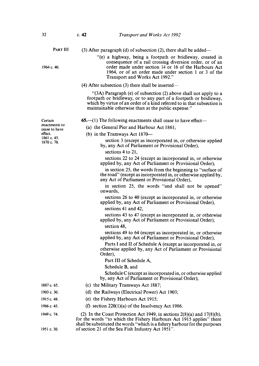PART III (3) After paragraph (d) of subsection (2), there shall be added—

"(e) a highway, being a footpath or bridleway, created in consequence of a rail crossing diversion order, or of an <sup>1964</sup>c. 40. order made under section 14 or 16 of the Harbours Act 1964, or of an order made under section 1 or 3 of the Transport and Works Act 1992."

(4) After subsection (3) there shall be inserted—

"(3A) Paragraph (e) of subsection (2) above shall not apply to a footpath or bridleway, or to any part of a footpath or bridleway, which by virtue of an order of a kind referred to in that subsection is maintainable otherwise than at the public expense."

Certain 65.—(l) The following enactments shall cease to have effect—

(a) the General Pier and Harbour Act  $1861$ :

effect. (b) in the Tramways Act  $1870 - 1861$  c. 45.

 $\frac{1801 \text{ c}}{28}$ . section 3 (except as incorporated in, or otherwise applied by, any Act of Parliament or Provisional Order),

sections 4 to 21,

sections 22 to 24 (except as incorporated in, or otherwise applied by, any Act of Parliament or Provisional Order),

in section 25, the words from the beginning to "surface of the road" (except as incorporated in, or otherwise applied by, any Act of Parliament or Provisional Order),

in section 25, the words "and shall not be opened" onwards,

sections 26 to 40 (except as incorporated in, or otherwise applied by, any Act of Parliament or Provisional Order),

sections 41 and 42,

sections 43 to 47 (except as incorporated in, or otherwise applied by, any Act of Parliament or Provisional Order),

section 48,

sections 49 to 64 (except as incorporated in, or otherwise applied by, any Act of Parliament or Provisional Order),

Parts I and II of Schedule A (except as incorporated in, or otherwise applied by, any Act of Parliament or Provisional Order),

Part III of Schedule A,

Schedule B, and

Schedule C (except as incorporated in, or otherwise applied by, any Act of Parliament or Provisional Order);

- 1887c. 65. (c) the Military Tramways Act 1887;
- <sup>1903</sup>c. 30. (d) the Railways (Electrical Power) Act 1903;
- 1915 c. 48. (e) the Fishery Harbours Act 1915;
- 
- 1986 c. 45. (f) section 220(1)(a) of the Insolvency Act 1986.

1949 c. 74. (2) In the Coast Protection Act 1949, in sections 2(8)(a) and l7(8)(b), for the words "to which the Fishery Harbours Act 1915 applies" there shall be substituted the words "which is a fishery harbour for the purposes 1951 c. 30. of section 21 of the Sea Fish Industry Act 1951".

enactments to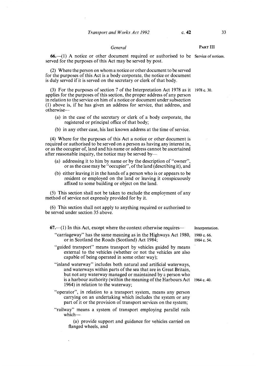# General PART III

66.—(l) A notice or other document required or authorised to be Service of notices. served for the purposes of this Act may be served by post.

(2) Where the person on whom a notice or other document to be served for the purposes of this Act is a body corporate, the notice or document is duly served if it is served on the secretary or clerk of that body.

(3) For the purposes of section 7 of the Interpretation Act 1978 as it 1978 c. 30. applies for the purposes of this section, the proper address of any person in relation to the service on him of a notice or document under subsection (1) above is, if he has given an address for service, that address, and otherwise——

- (a) in the case of the secretary or clerk of a body corporate, the registered or principal office of that body;
- (b) in any other case, his last known address at the time of service.

(4) Where for the purposes of this Act a notice or other document is required or authorised to be served on a person as having any interest in, or as the occupier of, land and his name or address cannot be ascertained after reasonable inquiry, the notice may be served by—

- (a) addressing it to him by name or by the description of "owner", or as the case may be "occupier", of the land (describing it), and
- (b) either leaving it in the hands of a person who is or appears to be resident or employed on the land or leaving it conspicuously affixed to some building or object on the land.

(5) This section shall not be taken to exclude the employment of any method of service not expressly provided for by it.

(6) This section shall not apply to anything required or authorised to be served under section 35 above.

 $67.$ —(1) In this Act, except where the context otherwise requires— Interpretation.

- "carriageway" has the same meaning as in the Highways Act 1980, 1980 c. 66. or in Scotland the Roads (Scotland) Act 1984; 1984 c. 54.
- "guided transport" means transport by vehicles guided by means external to the vehicles (whether or not the vehicles are also capable of being operated in some other way);

"inland waterway" includes both natural and artificial waterways, and waterways within parts of the sea that are in Great Britain, but not any waterway managed or maintained by a person who is a harbour authority (within the meaning of the Harbours Act 1964 c. 40. 1964) in relation to the waterway;

"operator", in relation to a transport system, means any person carrying on an undertaking which includes the system or any part of it or the provision of transport services on the system;

"railway" means a system of transport employing parallel rails which—

> (a) provide support and guidance for vehicles carried on flanged wheels, and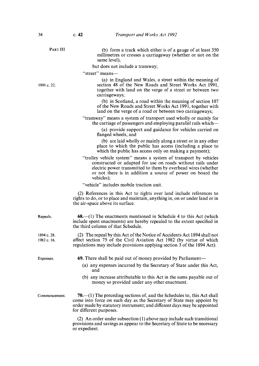PART III (b) form a track which either is of a gauge of at least 350 millimetres or crosses a carriageway (whether or not on the same level),

but does not include a tramway;

"street" means-

(a) in England and Wales, a street within the meaning of <sup>1991</sup>c. 22. section 48 of the New Roads and Street Works Act 1991, together with land on the verge of a street or between two carriageways;

> (b) in Scotland, a road within the meaning of section 107 of the New Roads and Street Works Act 1991, together with land on the verge of a road or between two carriageways;

"tramway" means a system of transport used wholly or mainly for the carriage of passengers and employing parallel rails which—

(a) provide support and guidance for vehicles carried on flanged wheels, and

(b) are laid wholly or mainly along a street or in any other place to which the public has access (including a place to which the public has access only on making a payment);

"trolley vehicle system" means a system of transport by vehicles constructed or adapted for use on roads without rails under electric power transmitted to them by overhead wires (whether or not there is in addition a source of power on board the vehicles);

"vehicle" includes mobile traction unit.

(2) References in this Act to rights over land include references to rights to do, or to place and maintain, anything in, on or under land or in the air-space above its surface.

Repeals.  $68 - (1)$  The enactments mentioned in Schedule 4 to this Act (which include spent enactments) are hereby repealed to the extent specified in the third column of that Schedule.

1894 c. 28. (2) The repeal by this Act of the Notice of Accidents Act 1894 shall not 1982 c. 16. affect section 75 of the Civil Aviation Act 1982 (by virtue of which affect section 75 of the Civil Aviation Act 1982 (by virtue of which regulations may include provisions applying section 3 of the 1894 Act).

Expenses. 69. There shall be paid out of money provided by Parliament—

- (a) any expenses incurred by the Secretary of State under this Act, and
- (b) any increase attributable to this Act in the sums payable out of money so provided under any other enactment.
- 

Commencement. **70.**—(1) The preceding sections of, and the Schedules to, this Act shall come into force on such day as the Secretary of State may appoint by order made by statutory instrument; and different days may be appointed for different purposes.

> (2) An order under subsection (1) above may include such transitional provisions and savings as appear to the Secretary of State to be necessary or expedient.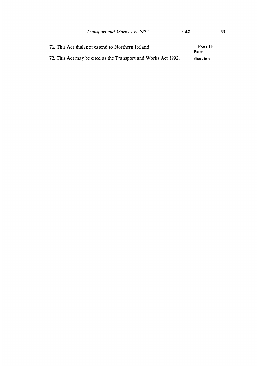| <b>71.</b> This Act shall not extend to Northern Ireland.             | PART III     |
|-----------------------------------------------------------------------|--------------|
|                                                                       | Extent.      |
| <b>72.</b> This Act may be cited as the Transport and Works Act 1992. | Short title. |

 $\hat{\mathcal{A}}$ 

 $\sim$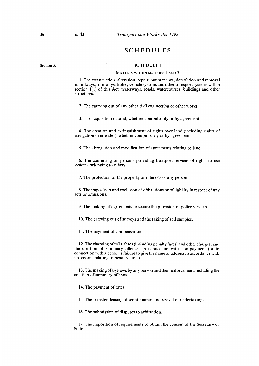# SCHEDULES

#### Section 5. SCHEDULE 1

#### MATTERS WITHIN SECTIONS 1 AND 3

1. The construction, alteration, repair, maintenance, demolition and removal of railways, tramways, trolley vehicle systems and other transport systems within section 1(1) of this Act, waterways, roads, watercourses, buildings and other structures.

2. The carrying out of any other civil engineering or other works.

3. The acquisition of land, whether compulsorily or by agreement.

4. The creation and extinguishment of rights over land (including rights of navigation over water), whether compulsorily or by agreement.

5. The abrogation and modification of agreements relating to land.

6. The conferring on persons providing transport services of rights to use systems belonging to others.

7. The protection of the property or interests of any person.

8. The imposition and exclusion of obligations or of liability in respect of any acts or omissions.

9. The making of agreements to secure the provision of police services.

10. The carrying out of surveys and the taking of soil samples.

11. The payment of compensation.

12. The charging of tolls, fares (including penalty fares) and other charges, and the creation of summary offences in connection with non-payment (or in connection with a person's failure to give his name or address in accordance with provisions relating to penalty fares).

13. The making of byelaws by any person and their enforcement, including the creation of summary offences.

14. The payment of rates.

15. The transfer, leasing, discontinuance and revival of undertakings.

16. The submission of disputes to arbitration.

17. The imposition of requirements to obtain the consent of the Secretary of State.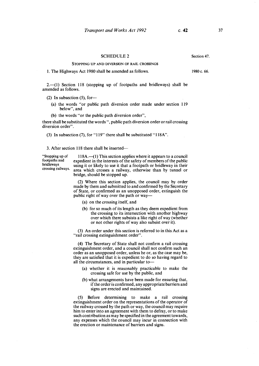#### SCHEDULE 2 Section 47.

# STOPPING UP AND DIVERSION OF RAIL CROSSINGS

1. The Highways Act 1980 shall be amended as follows. 1980 c. 66.

2.—(1) Section 118 (stopping up of footpaths and bridleways) shall be amended as follows.

(2) In subsection (5), for—

- (a) the words "or public path diversion order made under section 119 below", and
- (b) the words "or the public path diversion order",

there shall be substituted the words ", public path diversion order or rail crossing diversion order".

(3) In subsection (7), for "119" there shall be substituted "I l8A".

3. After section 118 there shall be inserted—

"Stopping up of  $118A$ .—(1) This section applies where it appears to a council footpaths and  $\epsilon$  expedient in the interests of the safety of members of the public footpaths and expedient in the interests of the safety of members of the public<br>bridleways using it or likely to use it that a footpath or bridleway in their bridleways using it or likely to use it that a footpath or bridleway in their<br>crossing railways. area which crosses a railway otherwise than by tunnel or area which crosses a railway, otherwise than by tunnel or bridge, should be stopped up.

> (2) Where this section applies, the council may by order made by them and submitted to and confirmed by the Secretary of State, or confirmed as an unopposed order, extinguish the public right of way over the path or way—

- (a) on the crossing itself, and
- (b) for so much of its length as they deem expedient from the crossing to its intersection with another highway over which there subsists a like right of way (whether or not other rights of way also subsist over it).

(3) An order under this section is referred to in this Act as a "rail crossing extinguishment order".

(4) The Secretary of State shall not confirm a rail crossing extinguishment order, and a council shall not confirm such an order as an unopposed order, unless he or, as the case may be, they are satisfied that it is expedient to do so having regard to all the circumstances, and in particular to—

- (a) whether it is reasonably practicable to make the crossing safe for use by the public, and
- (b) what arrangements have been made for ensuring that, if the order is confirmed, any appropriate barriers and signs are erected and maintained.

(5) Before determining to make a rail crossing extinguishment order on the representations of the operator of the railway crossed by the path or way, the council may require him to enter into an agreement with them to defray, or to make such contribution as may be specified in the agreement towards, any expenses which the council may incur in connection with the erection or maintenance of barriers and signs.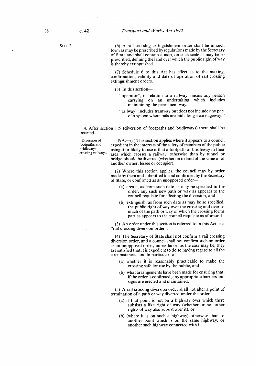SCH. 2 (6) A rail crossing extinguishment order shall be in such form as may be prescribed by regulations made by the Secretary of State and shall contain a map, on such scale as may be so prescribed, defining the land over which the public right of way is thereby extinguished.

> (7) Schedule 6 to this Act has effect as to the making, confirmation, validity and date of operation of rail crossing extinguishment orders.

- (8) In this section—
	- "operator", in relation to a railway, means any person carrying on an undertaking which includes maintaining the permanent way;
	- "railway" includes tramway but does not include any part of a system where rails are laid along a carriageway."

4. After section 119 (diversion of footpaths and bridleways) there shall be inserted—

"Diversion of 19A.—(1) This section applies where it appears to a council footpaths and expedient in the interests of the safety of members of the public footpaths and expedient in the interests of the safety of members of the public bridleways using it or likely to use it that a footpath or bridleway in their crossing railways. area which crosses a railway otherwise than by tunnel or area which crosses a railway, otherwise than by tunnel or bridge, should be diverted (whether on to land of the same or of another owner, lessee or occupier).

> (2) Where this section applies, the council may by order made by them and submitted to and confirmed by the Secretary of State, or confirmed as an unopposed order—

- (a) create, as from such date as may be specified in the order, any such new path or way as appears to the council requisite for effecting the diversion, and
- (b) extinguish, as from such date as may be so specified, the public right of way over the crossing and over so much of the path or way of which the crossing forms part as appears to the council requisite as aforesaid.

(3) An order under this section is referred to in this Act as a "rail crossing diversion order".

(4) The Secretary of State shall not confirm a rail crossing diversion order, and a council shall not confirm such an order as an unopposed order, unless he or, as the case may be, they are satisfied that it is expedient to do so having regard to all the circumstances, and in particular to—

- (a) whether it is reasonably practicable to make the crossing safe for use by the public, and
- (b) what arrangements have been made for ensuring that, if the order is confirmed, any appropriate barriers and signs are erected and maintained.

(5) A rail crossing diversion order shall not alter a point of termination of a path or way diverted under the order—

- (a) if that point is not on a highway over which there subsists a like right of way (whether or not other rights of way also subsist over it), or
- (b) (where it is on such a highway) otherwise than to another point which is on the same highway, or another such highway connected with it.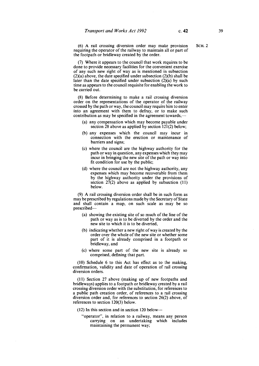(6) A rail crossing diversion order may make provision ScH. 2 requiring the operator of the railway to maintain all or part of the footpath or bridleway created by the order.

(7) Where it appears to the council that work requires to be done to provide necessary facilities for the convenient exercise of any such new right of way as is mentioned in subsection (2)(a) above, the date specified under subsection (2)(b) shall be later than the date specified under subsection  $(2)(a)$  by such time as appears to the council requisite for enabling the work to be carried out.

(8) Before determining to make a rail crossing diversion order on the representations of the operator of the railway crossed by the path or way, the council may require him to enter into an agreement with them to defray, or to make such contribution as may be specified in the agreement towards,—

- (a) any compensation which may become payable under section 28 above as applied by section 121(2) below;
- (b) any expenses which the council may incur in connection with the erection or maintenance of barriers and signs;
- (c) where the council are the highway authority for the path or way in question, any expenses which they may incur in bringing the new site of the path or way into fit condition for use by the public;
- (d) where the council are not the highway authority, any expenses which may become recoverable from them by the highway authority under the provisions of section  $27(2)$  above as applied by subsection (11) below.

(9) A rail crossing diversion order shall be in such form as may be prescribed by regulations made by the Secretary of State and shall contain a map, on such scale as may be so prescribed—

- (a) showing the existing site of so much of the line of the path or way as is to be diverted by the order and the new site to which it is to be diverted,
- (b) indicating whether a new right of way is created by the order over the whole of the new site or whether some part of it is already comprised in a footpath or bridleway, and
- (c) where some part of the new site is already so comprised, defining that part.

(10) Schedule 6 to this Act has effect as to the making, confirmation, validity and date of operation of rail crossing diversion orders.

(11) Section 27 above (making up of new footpaths and bridleways) applies to a footpath or bridleway created by a rail crossing diversion order with the substitution, for references to a public path creation order, of references to a rail crossing diversion order and, for references to section 26(2) above, of references to section 120(3) below.

(12) In this section and in section 120 below—

"operator", in relation to a railway, means any person carrying on an undertaking which includes maintaining the permanent way;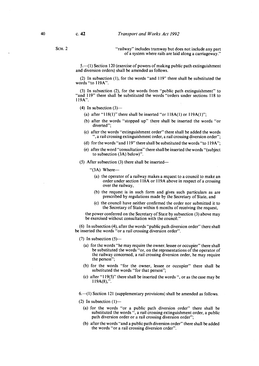SCH. 2 "Yeilway" includes tramway but does not include any part of a system where rails are laid along a carriageway."

> 5.—(I) Section 120 (exercise of powers of making public path extinguishment and diversion orders) shall be amended as follows.

> (2) In subsection (I), for the words "and 119" there shall be substituted the words "to 119A".

> (3) In subsection (2), for the words from "public path extinguishment" to "and 119" there shall be substituted the words "orders under sections 118 to <sup>I</sup>19A".

(4) In subsection  $(3)$ —

- (a) after "118(1)" there shall be inserted "or  $118A(1)$  or  $119A(1)$ ";
- (b) after the words "stopped up" there shall be inserted the words "or diverted";
- (c) after the words "extinguishment order" there shall be added the words ", a rail crossing extinguishment order, a rail crossing diversion order";
- (d) for the words "and 119" there shall be substituted the words "to I l9A";
- (e) after the word "consultation" there shall be inserted the words "(subject to subsection (3A) below)".
- (5) After subsection (3) there shall be inserted—
	- "(3A) Where—
		- (a) the operator of a railway makes a request to a council to make an order under section 1 l8A or I l9A above in respect of a crossing over the railway,
		- (b) the request is in such form and gives such particulars as are prescribed by regulations made by the Secretary of State, and
		- (c) the council have neither confirmed the order nor submitted it to the Secretary of State within 6 months of receiving the request,

the power conferred on the Secretary of State by subsection (3) above may be exercised without consultation with the council."

(6) In subsection (4), after the words "public path diversion order" there shall be inserted the words "or a rail crossing diversion order".

- (7) In subsection  $(5)$ 
	- (a) for the words "he may require the owner, lessee or occupier" there shall be substituted the words "or, on the representations of the operator of the railway concerned, a rail crossing diversion order, he may require the person";
	- (b) for the words "for the owner, lessee or occupier" there shall be substituted the words "for that person";
	- (c) after "119(5)" there shall be inserted the words ", or as the case may be  $119A(8)$ ,".

6.—(l) Section 121 (supplementary provisions) shall be amended as follows.

- (2) In subsection (1)—
	- (a) for the words "or a public path diversion order" there shall be substituted the words ", a rail crossing extinguishment order, a public path diversion order or a rail crossing diversion order";
	- (b) after the words "and a public path diversion order" there shall be added the words "or a rail crossing diversion order".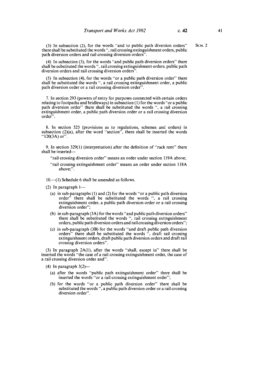(3) In subsection (2), for the words "and to public path diversion orders" SCH. 2 there shall be substituted the words ", rail crossing extinguishment orders, public path diversion orders and rail crossing diversion orders".

(4) In subsection (3), for the words "and public path diversion orders" there shall be substituted the words ", rail crossing extinguishment orders, public path diversion orders and rail crossing diversion orders".

(5) In subsection (4), for the words "or a public path diversion order" there shall be substituted the words ", a rail crossing extinguishment order, a public path diversion order or a rail crossing diversion order".

7. In section 293 (powers of entry for purposes connected with certain orders relating to footpaths and bridleways) in subsection (1) for the words "or a public path diversion order" there shall be substituted the words ", a rail crossing extinguishment order, a public path diversion order or a rail crossing diversion order".

8. In section 325 (provisions as to regulations, schemes and orders) in subsection  $(2)(a)$ , after the word "section", there shall be inserted the words "120(3A) or".

9. In section 329(1) (interpretation) after the definition of "rack rent" there shall be inserted—

"rail crossing diversion order" means an order under section 1 l9A above;

"rail crossing extinguishment order" means an order under section Il 8A above;".

lO.—(l) Schedule 6 shall be amended as follows.

- (2) In paragraph 1—
	- (a) in sub-paragraphs (1) and (2) for the words "or a public path diversion order" there shall be substituted the words ", a rail crossing extinguishment order, a public path diversion order or a rail crossing diversion order";
	- (b) in sub-paragraph (3A) for the words "and public path diversion orders" there shall be substituted the words ", rail crossing extinguishment orders, public path diversion orders and rail crossing diversion orders";
	- (c) in sub-paragraph (3B) for the words "and draft public path diversion orders" there shall be substituted the words ", draft rail crossing extinguishment orders, draft public path diversion orders and draft rail crossing diversion orders".

(3) In paragraph 2A(l), after the words "shall, except in" there shall be inserted the words "the case of a rail crossing extinguishment order, the case of a rail crossing diversion order and".

- (4) In paragraph  $3(2)$ 
	- (a) after the words "public path extinguishment order" there shall be inserted the words "or a rail crossing extinguishment order";
	- (b) for the words "or a public path diversion order" there shall be substituted the words ", a public path diversion order or a rail crossing diversion order".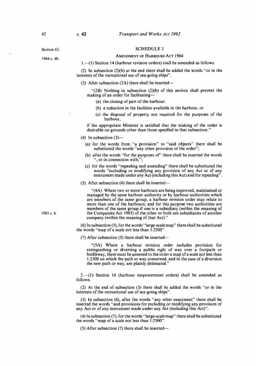# Section 63. SCHEDULE 3

#### AMENDMENT OF HARBOURS ACT 1964

l.—(I) Section 14 (harbour revision orders) shall be amended as follows.

(2) In subsection (2)(b) at the end there shall be added the words "or in the interests of the recreational use of sea-going ships".

(3) After subsection (2A) there shall be inserted—

 $(2B)$  Nothing in subsection  $(2)(b)$  of this section shall prevent the making of an order for facilitating—

- (a) the closing of part of the harbour,
- (b) a reduction in the facilities available in the harbour, or
- (c) the disposal of property not required for the purposes of the harbour,

if the appropriate Minister is satisfied that the making of the order is desirable on grounds other than those specified in that subsection."

(4) In subsection  $(3)$ —

- (a) for the words from "a provision" to "said objects" there shall be substituted the words "any other provision of the order";
- (b) after the words "for the purposes of' there shall be inserted the words ", or in connection with,";
- (c) for the words "repealing and amending" there shall be substituted the words "excluding or modifying any provision of any Act or of any instrument made under any Act (including this Act) and for repealing".
- (5) After subsection (4) there shall be inserted—

"(4A) Where two or more harbours are being improved, maintained or managed by the same harbour authority or by harbour authorities which are members of the same group, a harbour revision order may relate to more than one of the harbours; and for this purpose two authorities are members of the same group if one is a subsidiary (within the meaning of 1985 c. 6. the Companies Act 1985) of the other or both are subsidiaries of another company (within the meaning of that Act)."

> (6) In subsection (5), for the words "large-scale map" there shall be substituted the words "map of a scale not less than 1:2500".

(7) After subsection (5) there shall be inserted—

"(5A) Where a harbour revision order includes provision for extinguishing or diverting a public right of way over a footpath or bridleway, there must be annexed to the order a map of a scale not less than 1:2500 on which the path or way concerned, and in the case of a diversion the new path or way, are plainly delineated."

2.—(l) Section 16 (harbour empowerment orders) shall be amended as follows.

(2) At the end of subsection (5) there shall be added the words "or in the interests of the recreational use of sea-going ships".

(3) In subsection (6), after the words "any other enactment" there shall be inserted the words "and provisions for excluding or modifying any provision of any Act or of any instrument made under any Act (including this Act)".

(4) In subsection (7), for the words "large-scale map" there shall be substituted the words "map of a scale not less than 1:2500".

(5) After subsection (7) there shall be inserted—

1964 c. 40.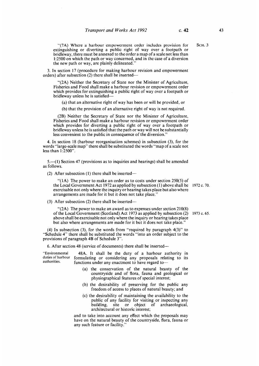"(7A) Where a harbour empowerment order includes provision for SCH. 3 extinguishing or diverting a public right of way over a footpath or bridleway, there must be annexed to the order a map of a scale not less than 1:2500 on which the path or way concerned, and in the case of a diversion the new path or way, are plainly delineated.

3. In section 17 (procedure for making harbour revision and empowerment orders) after subsection (2) there shall be inserted—

"(2A) Neither the Secretary of State nor the Minister of Agriculture, Fisheries and Food shall make a harbour revision or empowerment order which provides for extinguishing a public right of way over a footpath or bridleway unless he is satisfied—

(a) that an alternative right of way has been or will be provided, or

(h) that the provision of an alternative right of way is not required.

(2B) Neither the Secretary of State nor the Minister of Agriculture, Fisheries and Food shall make a harbour revision or empowerment order which provides for diverting a public right of way over a footpath or bridleway unless he is satisfied that the path or way will not be substantially less convenient to the public in consequence of the diversion."

4. In section 18 (harbour reorganisation schemes) in subsection (3), for the words "large-scale map" there shall be substituted the words "map of a scale not less than 1:2500".

5.—(l) Section 47 (provisions as to inquiries and hearings) shall be amended as follows.

(2) After subsection (1) there shall be inserted—

"(1A) The power to make an order as to costs under section 250(5) of the Local Government Act 1972 as applied by subsection (I) above shall be 1972 c. 70. exercisable not only where the inquiry or hearing takes place but also where arrangements are made for it but it does not take place."

(3) After subsection (2) there shall be inserted—

" $(2A)$  The power to make an award as to expenses under section 210(8) of the Local Government (Scotland) Act 1973 as applied by subsection (2) 1973 c. 65. above shall be exercisable not only where the inquiry or hearing takes place but also where arrangements are made for it but it does not take place."

(4) In subsection (3), for the words from "required by paragraph 4(3)" to "Schedule 4" there shall be substituted the words "into an order subject to the provisions of paragraph 4B of Schedule 3".

6. After section 48 (service of documents) there shall be inserted—

"Environmental 48A. It shall be the duty of a harbour authority in duties of harbour formulating or considering any proposals relating to its authorities. Suppose the consideration of the second to the second to the second to the second to the second to the second to the second to the sec functions under any enactment to have regard to-

- (a) the conservation of the natural beauty of the countryside and of flora, fauna and geological or physiographical features of special interest;
- (b) the desirability of preserving for the public any freedom of access to places of natural beauty; and
- (c) the desirability of maintaining the availability to the public of any facility for visiting or inspecting any building, site or object of archaeological, architectural or historic interest;

and to take into account any effect which the proposals may have on the natural beauty of the countryside, flora, fauna or any such feature or facility.'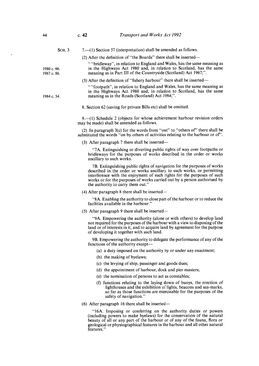|  | 44 | c.42 | Transport and Works Act 1992 |
|--|----|------|------------------------------|
|--|----|------|------------------------------|

| <b>SCH. 3</b>              | $7. - (1)$ Section 57 (interpretation) shall be amended as follows.                                                                                                                                                                                                                                                                           |  |
|----------------------------|-----------------------------------------------------------------------------------------------------------------------------------------------------------------------------------------------------------------------------------------------------------------------------------------------------------------------------------------------|--|
|                            | (2) After the definition of "the Boards" there shall be inserted—                                                                                                                                                                                                                                                                             |  |
| 1980 с. 66.<br>1967 с. 86. | ""bridleway", in relation to England and Wales, has the same meaning as<br>in the Highways Act 1980 and, in relation to Scotland, has the same<br>meaning as in Part III of the Countryside (Scotland) Act 1967;".                                                                                                                            |  |
|                            | (3) After the definition of "fishery harbour" there shall be inserted—                                                                                                                                                                                                                                                                        |  |
| 1984 c. 54.                | ""footpath", in relation to England and Wales, has the same meaning as<br>in the Highways Act 1980 and, in relation to Scotland, has the same<br>meaning as in the Roads (Scotland) Act 1984;".                                                                                                                                               |  |
|                            | 8. Section 62 (saving for private Bills etc) shall be omitted.                                                                                                                                                                                                                                                                                |  |
|                            | 9. (1) Schedule 2 (objects for whose achievement harbour revision orders<br>may be made) shall be amended as follows.                                                                                                                                                                                                                         |  |
|                            | (2) In paragraph $3(c)$ for the words from "out" to "others of" there shall be<br>substituted the words "on by others of activities relating to the harbour or of".                                                                                                                                                                           |  |
|                            | (3) After paragraph 7 there shall be inserted—                                                                                                                                                                                                                                                                                                |  |
|                            | "7A. Extinguishing or diverting public rights of way over footpaths or<br>bridleways for the purposes of works described in the order or works<br>ancillary to such works.                                                                                                                                                                    |  |
|                            | 7B. Extinguishing public rights of navigation for the purposes of works<br>described in the order or works ancillary to such works, or permitting<br>interference with the enjoyment of such rights for the purposes of such<br>works or for the purposes of works carried out by a person authorised by<br>the authority to carry them out." |  |
|                            | $(4)$ After paragraph 8 there shall be inserted—                                                                                                                                                                                                                                                                                              |  |
|                            | "8A. Enabling the authority to close part of the harbour or to reduce the<br>facilities available in the harbour."                                                                                                                                                                                                                            |  |
|                            | (5) After paragraph 9 there shall be inserted—                                                                                                                                                                                                                                                                                                |  |
|                            | "9A. Empowering the authority (alone or with others) to develop land<br>not required for the purposes of the harbour with a view to disposing of the<br>land or of interests in it, and to acquire land by agreement for the purpose<br>of developing it together with such land.                                                             |  |
|                            | 9B. Empowering the authority to delegate the performance of any of the<br>functions of the authority except—                                                                                                                                                                                                                                  |  |
|                            | (a) a duty imposed on the authority by or under any enactment;                                                                                                                                                                                                                                                                                |  |
|                            | (b) the making of byelaws;                                                                                                                                                                                                                                                                                                                    |  |
|                            | (c) the levying of ship, passenger and goods dues;                                                                                                                                                                                                                                                                                            |  |
|                            | (d) the appointment of harbour, dock and pier masters;                                                                                                                                                                                                                                                                                        |  |
|                            | (e) the nomination of persons to act as constables;                                                                                                                                                                                                                                                                                           |  |
|                            | (f) functions relating to the laying down of buoys, the erection of<br>lighthouses and the exhibition of lights, beacons and sea-marks,<br>so far as those functions are exercisable for the purposes of the<br>safety of navigation."                                                                                                        |  |

(6) After paragraph 16 there shall be inserted—

"16A. Imposing or conferring on the authority duties or powers (including powers to make byelaws) for the conservation of the natural beauty of all or any part of the harbour or of any of the fauna, flora or geological or physiographical features in the harbour and all other natural features."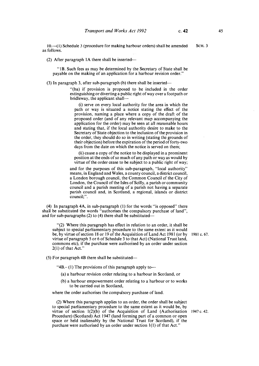lO.—-(l) Schedule 3 (procedure for making harbour orders) shall be amended ScH. <sup>3</sup> as follows.

(2) After paragraph 1A there shall be inserted—

"IB. Such fees as may be determined by the Secretary of State shall be payable on the making of an application for a harbour revision order."

(3) In paragraph 3, after sub-paragraph (b) there shall be inserted—

"(ba) if provision is proposed to be included in the order extinguishing or diverting a public right of way over a footpath or bridleway, the applicant shall—

(i) serve on every local authority for the area in which the path or way is situated a notice stating the effect of the provision, naming a place where a copy of the draft of the proposed order (and of any relevant map accompanying the application for the order) may be seen at all reasonable hours and stating that, if the local authority desire to make to the Secretary of State objection to the inclusion of the provision in the order, they should do so in writing (stating the grounds of their objection) before the expiration of the period of forty-two days from the date on which the notice is served on them;

(ii) cause a copy of the notice to be displayed in a prominent position at the ends of so much of any path or way as would by virtue of the order cease to be subject to a public right of way;

and for the purposes of this sub-paragraph, "local authority" means, in England and Wales, a county council, a district council, a London borough council, the Common Council of the City of London, the Council of the Isles of Scilly, a parish or community council and a parish meeting of a parish not having a separate parish council and, in Scotland, a regional, islands or district council;".

(4) In paragraph 4A, in sub-paragraph (I) for the words "is opposed" there shall be substituted the words "authorises the compulsory purchase of land", and for sub-paragraphs (2) to (4) there shall be substituted—

"(2) Where this paragraph has effect in relation to an order, it shall be subject to special parliamentary procedure to the same extent as it would be, by virtue of section 18 or 19 of the Acquisition of Land Act 1981 (or by 1981 c. 67. virtue of paragraph 5 or 6 of Schedule 3 to that Act) (National Trust land, commons etc), if the purchase were authorised by an order under section 2(1) of that Act."

(5) For paragraph 4B there shall be substituted—

"4B. $-$  (1) The provisions of this paragraph apply to-

- (a) a harbour revision order relating to a harbour in Scotland, or
- (b) a harbour empowerment order relating to a harbour or to works to be carried out in Scotland,

where the order authorises the compulsory purchase of land.

(2) Where this paragraph applies to an order, the order shall be subject to special parliamentary procedure to the same extent as it would be, by virtue of section l(2)(b) of the Acquisition of Land (Authorisation 1947 c. 42. Procedure) (Scotland) Act 1947 (land forming part of a common or open space or held inalienably by the National Trust for Scotland), if the purchase were authorised by an order under section 1(1) of that Act."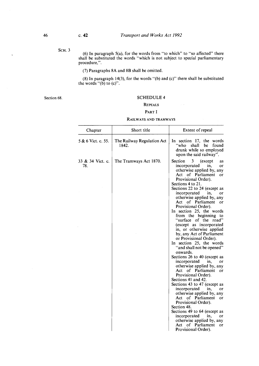**SCH.** 3

(6) In paragraph 5(a), for the words from "to which" to "so affected" there shall be substituted the words "which is not subject to special parliamentary procedure,".

(7) Paragraphs 8A and 8B shall be omitted.

(8) In paragraph 14(3), for the words "(b) and (c)" there shall be substituted the words " $(b)$  to  $(c)$ ".

# Section 68. SCHEDULE 4

#### REPEALS

 $\sim 10$ 

# PART I

| Chapter                 | Short title                         | Extent of repeal                                                                                                                                                                                                                                                                                                                                                                                                                                                                                                                                                                                                                                                                                                                                                                                                                                                                                                                                                                                                                                    |
|-------------------------|-------------------------------------|-----------------------------------------------------------------------------------------------------------------------------------------------------------------------------------------------------------------------------------------------------------------------------------------------------------------------------------------------------------------------------------------------------------------------------------------------------------------------------------------------------------------------------------------------------------------------------------------------------------------------------------------------------------------------------------------------------------------------------------------------------------------------------------------------------------------------------------------------------------------------------------------------------------------------------------------------------------------------------------------------------------------------------------------------------|
| 5 & 6 Vict. c. 55.      | The Railway Regulation Act<br>1842. | In section 17, the words<br>"who<br>shall<br>be<br>found<br>drunk while so employed<br>upon the said railway".                                                                                                                                                                                                                                                                                                                                                                                                                                                                                                                                                                                                                                                                                                                                                                                                                                                                                                                                      |
| 33 & 34 Vict. c.<br>78. | The Tramways Act 1870.              | Section<br>3<br>(except)<br>as<br>incorporated<br>in,<br>or<br>otherwise applied by, any<br>Act of Parliament<br>or<br>Provisional Order).<br>Sections 4 to 21.<br>Sections 22 to 24 (except as<br>incorporated<br>in,<br>or<br>otherwise applied by, any<br>Act of Parliament<br>or<br>Provisional Order).<br>In section 25, the words<br>from the beginning to<br>"surface of the road"<br>(except as incorporated<br>in, or otherwise applied<br>by, any Act of Parliament<br>or Provisional Order).<br>In section 25, the words<br>"and shall not be opened"<br>onwards.<br>Sections 26 to 40 (except as<br>incorporated in,<br>or<br>otherwise applied by, any<br>Act of Parliament<br>or<br>Provisional Order).<br>Sections 41 and 42.<br>Sections 43 to 47 (except as<br>in,<br>incorporated<br>or<br>otherwise applied by, any<br>Act of Parliament<br>or<br>Provisional Order).<br>Section 48.<br>Sections 49 to 64 (except as<br>incorporated in,<br>or<br>otherwise applied by, any<br>of Parliament<br>Act<br>or<br>Provisional Order). |

#### RAILWAYS AND TRAMWAYS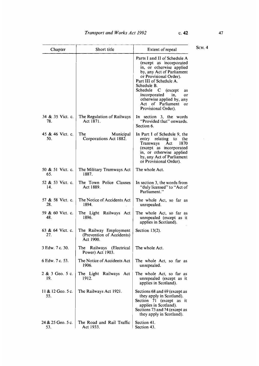| Chapter                                      | Short title                                                      | Extent of repeal                                                                                                                                                                                                                                                                                                                                                            |
|----------------------------------------------|------------------------------------------------------------------|-----------------------------------------------------------------------------------------------------------------------------------------------------------------------------------------------------------------------------------------------------------------------------------------------------------------------------------------------------------------------------|
|                                              |                                                                  | Parts I and II of Schedule A<br>(except as incorporated<br>in, or otherwise applied<br>by, any Act of Parliament<br>or Provisional Order).<br>Part III of Schedule A.<br>Schedule B.<br>Schedule<br>(except<br>$\mathbf{C}$<br>as<br>incorporated<br>$\mathbf{m}_{\mathbf{r}}$<br>or<br>otherwise applied by, any<br>Act of Parliament<br>$\alpha$ r<br>Provisional Order). |
| 34 & 35 Vict. c.<br>78.                      | The Regulation of Railways<br>Act 1871.                          | In section 3, the words<br>"Provided that" onwards.<br>Section 6.                                                                                                                                                                                                                                                                                                           |
| 45 & 46 Vict. c.<br>50.                      | The<br>Municipal<br>Corporations Act 1882.                       | In Part I of Schedule 9, the<br>entry relating to the<br>Tramways<br>Act<br>1870<br>(except as incorporated<br>in, or otherwise applied<br>by, any Act of Parliament<br>or Provisional Order).                                                                                                                                                                              |
| 50 & 51 Vict. c.<br>65.                      | The Military Tramways Act<br>1887.                               | The whole Act.                                                                                                                                                                                                                                                                                                                                                              |
| 52 & 53 Vict. c.<br>14.                      | The Town Police Clauses<br>Act 1889.                             | In section 3, the words from<br>"duly licensed" to "Act of<br>Parliament."                                                                                                                                                                                                                                                                                                  |
| 57 & 58 Vict. c.<br>28.                      | The Notice of Accidents Act<br>1894.                             | The whole Act, so far as<br>unrepealed.                                                                                                                                                                                                                                                                                                                                     |
| 59 & 60 Vict. c.<br>48.                      | The Light Railways Act<br>1896.                                  | The whole Act, so far as<br>unrepealed (except as it<br>applies in Scotland).                                                                                                                                                                                                                                                                                               |
| 63 & 64 Vict. c.<br>27.                      | The Railway Employment<br>(Prevention of Accidents)<br>Act 1900. | Section $13(2)$ .                                                                                                                                                                                                                                                                                                                                                           |
| 3 Edw. 7 c. 30.                              | Railways (Electrical<br>The:<br>Power) Act 1903.                 | The whole Act.                                                                                                                                                                                                                                                                                                                                                              |
| 6 Edw. 7 c. 53.                              | The Notice of Accidents Act<br>1906.                             | The whole Act, so far as<br>unrepealed.                                                                                                                                                                                                                                                                                                                                     |
| 2 & 3 Geo. 5 c.<br>19.                       | The Light Railways Act<br>1912.                                  | The whole Act, so far as<br>unrepealed (except as it<br>applies in Scotland).                                                                                                                                                                                                                                                                                               |
| $11 \& 12 \text{ Geo. } 5 \text{ c.}$<br>55. | The Railways Act 1921.                                           | Sections 68 and 69 (except as<br>they apply in Scotland).<br>Section 71 (except as it<br>applies in Scotland).<br>Sections 73 and 74 (except as<br>they apply in Scotland).                                                                                                                                                                                                 |
| 24 & 25 Geo. 5 c.<br>53.                     | The Road and Rail Traffic<br>Act 1933.                           | Section 41.<br>Section 43.                                                                                                                                                                                                                                                                                                                                                  |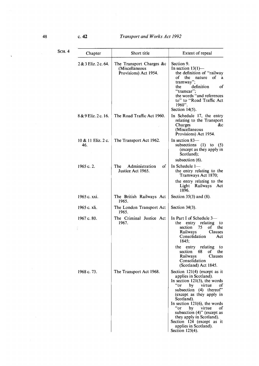| Sch. 4 | Chapter                   | Short title                                                         | Extent of repeal                                                                                                                                                                                                                                                                                                                                                                                                                |
|--------|---------------------------|---------------------------------------------------------------------|---------------------------------------------------------------------------------------------------------------------------------------------------------------------------------------------------------------------------------------------------------------------------------------------------------------------------------------------------------------------------------------------------------------------------------|
|        | 2 & 3 Eliz. 2 c. 64.      | The Transport Charges &c<br>(Miscellaneous<br>Provisions) Act 1954. | Section 9.<br>In section $13(1)$ —<br>the definition of "railway"<br>of the nature of<br><sub>a</sub><br>tramway":<br>of<br>definition<br>the<br>"tramcar":<br>the words "and references<br>to" to "Road Traffic Act<br>$1960$ ".<br>Section $14(5)$ .                                                                                                                                                                          |
|        | 8 & 9 Eliz. 2 c. 16.      | The Road Traffic Act 1960.                                          | In Schedule 17, the entry<br>relating to the Transport<br>Charges<br>&c.<br>(Miscellaneous<br>Provisions) Act 1954.                                                                                                                                                                                                                                                                                                             |
|        | 10 & 11 Eliz. 2 c.<br>46. | The Transport Act 1962.                                             | In section $83-$<br>subsections (1) to<br>(5)<br>(except as they apply in<br>Scotland);<br>subsection (6).                                                                                                                                                                                                                                                                                                                      |
|        | 1965 c. 2.                | Administration<br>The<br>of<br>Justice Act 1965.                    | In Schedule 1-<br>the entry relating to the<br>Tramways Act 1870;<br>the entry relating to the<br>Light<br>Railways Act<br>1896.                                                                                                                                                                                                                                                                                                |
|        | 1965 c. xxi.              | The British Railways Act<br>1965.                                   | Section $35(3)$ and $(8)$ .                                                                                                                                                                                                                                                                                                                                                                                                     |
|        | 1965 c. xli.              | The London Transport Act<br>1965.                                   | Section $34(3)$ .                                                                                                                                                                                                                                                                                                                                                                                                               |
|        | 1967 c. 80.               | The Criminal Justice Act<br>1967.                                   | In Part I of Schedule 3-<br>the<br>entry<br>relating<br>to<br>section<br>75<br>of<br>the<br>Railways<br>Clauses<br>Consolidation<br>Act<br>1845;<br>the entry relating<br>to<br>68<br>$\circ$ f<br>section<br>the.<br>Railways<br>Clauses<br>Consolidation                                                                                                                                                                      |
|        | 1968 c. 73.               | The Transport Act 1968.                                             | (Scotland) Act 1845.<br>Section $121(4)$ (except as it<br>applies in Scotland).<br>In section $121(5)$ , the words<br>"or"<br>by<br>virtue<br>οť<br>subsection (4) thereof"<br>(except as they apply in<br>Scotland).<br>In section $121(6)$ , the words<br>"or"<br>by<br>virtue<br>οf<br>subsection $(4)$ " (except as<br>they apply in Scotland).<br>Section 124 (except as it<br>applies in Scotland).<br>Section $125(4)$ . |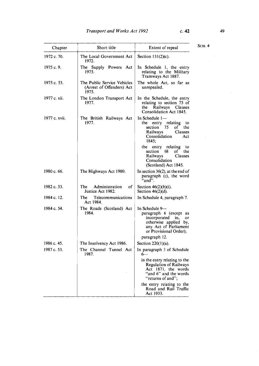| Chapter       | Short title                                                       | Extent of repeal                                                                                                                               |
|---------------|-------------------------------------------------------------------|------------------------------------------------------------------------------------------------------------------------------------------------|
| 1972 c. 70.   | The Local Government Act<br>1972.                                 | Section $131(2)(c)$ .                                                                                                                          |
| 1975 c. 9.    | The Supply Powers Act<br>1975.                                    | In Schedule 1, the entry<br>relating to the Military<br>Tramways Act 1887.                                                                     |
| 1975 c. 53.   | The Public Service Vehicles<br>(Arrest of Offenders) Act<br>1975. | The whole Act, so far as<br>unrepealed.                                                                                                        |
| 1977 c. xii.  | The London Transport Act<br>1977.                                 | In the Schedule, the entry<br>relating to section 75 of<br>the Railways Clauses<br>Consolidation Act 1845.                                     |
| 1977 c. xvii. | The British Railways Act<br>1977.                                 | In Schedule 1-<br>entry relating to<br>the<br>75<br>of the<br>section<br>Clauses<br>Railways<br>Consolidation<br>Act<br>1845:                  |
|               |                                                                   | the entry relating<br>to to<br>68<br>the<br>section<br>of<br>Railways<br>Clauses<br>Consolidation<br>(Scotland) Act 1845.                      |
| 1980 c. 66.   | The Highways Act 1980.                                            | In section $36(2)$ , at the end of<br>paragraph (c), the word<br>"and".                                                                        |
| 1982 c. 53.   | The<br>Administration<br><sub>of</sub><br>Justice Act 1982.       | Section $46(2)(b)(i)$ .<br>Section $46(2)(d)$ .                                                                                                |
| 1984 c. 12.   | The<br>Telecommunications<br>Act 1984.                            | In Schedule 4, paragraph 7.                                                                                                                    |
| 1984 c. 54.   | The Roads (Scotland) Act<br>1984.                                 | In Schedule 9-<br>paragraph 6 (except as<br>incorporated in,<br>or<br>otherwise applied by,<br>any Act of Parliament<br>or Provisional Order); |
|               |                                                                   | paragraph 12.                                                                                                                                  |
| 1986 c. 45.   | The Insolvency Act 1986.                                          | Section $220(1)(a)$ .                                                                                                                          |
| 1987 c. 53.   | The Channel Tunnel Act<br>1987.                                   | In paragraph 3 of Schedule<br>6—                                                                                                               |
|               |                                                                   | in the entry relating to the<br><b>Regulation of Railways</b><br>Act 1871, the words<br>"and 6" and the words<br>"returns of and":             |
|               |                                                                   | the entry relating to the<br>Road and Rail Traffic<br>Act 1933.                                                                                |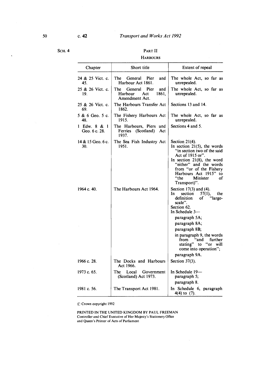$SCH. 4$  P

|--|--|

**HARBOURS** 

| Chapter                       | Short title                                                                | Extent of repeal                                                                                                                                                                                                                                                                                                          |
|-------------------------------|----------------------------------------------------------------------------|---------------------------------------------------------------------------------------------------------------------------------------------------------------------------------------------------------------------------------------------------------------------------------------------------------------------------|
| 24 & 25 Vict. c.<br>45.       | The<br>Pier<br>General<br>and<br>Harbour Act 1861.                         | The whole Act, so far as<br>unrepealed.                                                                                                                                                                                                                                                                                   |
| 25 & 26 Vict. c.<br>19.       | General<br>Pier<br>The<br>and<br>Harbour<br>1861,<br>Act<br>Amendment Act. | The whole Act, so far as<br>unrepealed.                                                                                                                                                                                                                                                                                   |
| 25 & 26 Vict. c.<br>69.       | The Harbours Transfer Act<br>1862.                                         | Sections 13 and 14.                                                                                                                                                                                                                                                                                                       |
| 5 & 6 Geo. 5 c.<br>48.        | The Fishery Harbours Act<br>1915.                                          | The whole Act, so far as<br>unrepealed.                                                                                                                                                                                                                                                                                   |
| 1 Edw. 8 & 1<br>Geo. 6 c. 28. | The Harbours, Piers and<br>(Scotland)<br>Act<br>Ferries<br>1937.           | Sections 4 and 5.                                                                                                                                                                                                                                                                                                         |
| 14 & 15 Geo. 6 c.<br>30.      | The Sea Fish Industry Act<br>1951.                                         | Section $21(4)$ .<br>In section $21(5)$ , the words<br>"in section two of the said<br>Act of 1915 or".<br>In section $21(8)$ , the word<br>"either" and the words<br>from "or of the Fishery<br>Harbours Act 1915"<br>to<br>"the<br>Minister<br>οf<br>Transport)".                                                        |
| 1964 c. 40.                   | The Harbours Act 1964.                                                     | Section $17(3)$ and $(4)$ .<br>57(1),<br>the<br>In.<br>section<br>definition<br>"large-<br>0f<br>scale".<br>Section 62.<br>In Schedule 3-<br>paragraph 5A;<br>paragraph 8A;<br>paragraph 8B;<br>in paragraph 9, the words<br>further<br>from<br>"and<br>stating" to<br>"or will<br>come into operation";<br>paragraph 9A. |
| 1966 c. 28.                   | The Docks and Harbours<br>Act 1966.                                        | Section $37(3)$ .                                                                                                                                                                                                                                                                                                         |
| 1973 c. 65.                   | Local<br>Government<br>The<br>(Scotland) Act 1973.                         | In Schedule 19-<br>paragraph 5;<br>paragraph 8.                                                                                                                                                                                                                                                                           |
| 1981 c. 56.                   | The Transport Act 1981.                                                    | In Schedule 6, paragraph<br>$4(4)$ to $(7)$ .                                                                                                                                                                                                                                                                             |

© Crown copyright <sup>1992</sup>

PRINTED IN THE UNITED KINGDOM BY PAUL FREEMAN Controller and Chief Executive of Her Majesty's Stationery Office and Queen's Printer of Acts of Parliament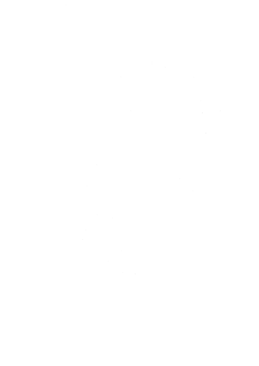$\label{eq:2.1} \frac{1}{\sqrt{2}}\left(\frac{1}{\sqrt{2}}\right)^{2} \left(\frac{1}{\sqrt{2}}\right)^{2} \left(\frac{1}{\sqrt{2}}\right)^{2} \left(\frac{1}{\sqrt{2}}\right)^{2} \left(\frac{1}{\sqrt{2}}\right)^{2} \left(\frac{1}{\sqrt{2}}\right)^{2} \left(\frac{1}{\sqrt{2}}\right)^{2} \left(\frac{1}{\sqrt{2}}\right)^{2} \left(\frac{1}{\sqrt{2}}\right)^{2} \left(\frac{1}{\sqrt{2}}\right)^{2} \left(\frac{1}{\sqrt{2}}\right)^{2} \left(\$  $\label{eq:2.1} \frac{1}{\sqrt{2}}\int_{\mathbb{R}^3}\frac{1}{\sqrt{2}}\left(\frac{1}{\sqrt{2}}\right)^2\frac{1}{\sqrt{2}}\left(\frac{1}{\sqrt{2}}\right)^2\frac{1}{\sqrt{2}}\left(\frac{1}{\sqrt{2}}\right)^2\frac{1}{\sqrt{2}}\left(\frac{1}{\sqrt{2}}\right)^2.$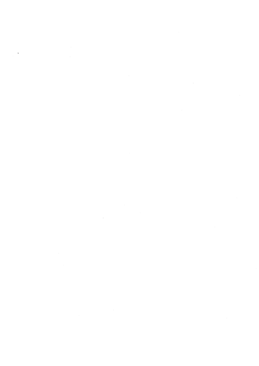$\frac{1}{2} \sum_{i=1}^n \frac{1}{2} \sum_{j=1}^n \frac{1}{2} \sum_{j=1}^n \frac{1}{2} \sum_{j=1}^n \frac{1}{2} \sum_{j=1}^n \frac{1}{2} \sum_{j=1}^n \frac{1}{2} \sum_{j=1}^n \frac{1}{2} \sum_{j=1}^n \frac{1}{2} \sum_{j=1}^n \frac{1}{2} \sum_{j=1}^n \frac{1}{2} \sum_{j=1}^n \frac{1}{2} \sum_{j=1}^n \frac{1}{2} \sum_{j=1}^n \frac{1}{2} \sum_{j=$ 

 $\label{eq:2.1} \frac{1}{\sqrt{2}}\int_{\mathbb{R}^3}\frac{1}{\sqrt{2}}\left(\frac{1}{\sqrt{2}}\right)^2\frac{1}{\sqrt{2}}\left(\frac{1}{\sqrt{2}}\right)^2\frac{1}{\sqrt{2}}\left(\frac{1}{\sqrt{2}}\right)^2\frac{1}{\sqrt{2}}\left(\frac{1}{\sqrt{2}}\right)^2.$